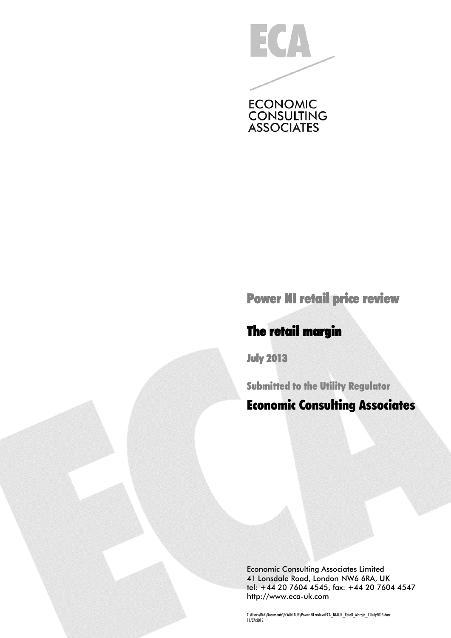

Power NI retail price review

# The retail margin

July 2013

Submitted to the Utility Regulator

# Economic Consulting Associates

Economic Consulting Associates Limited 41 Lonsdale Road, London NW6 6RA, UK tel: +44 20 7604 4545, fax: +44 20 7604 4547 [http://www.eca-uk.com](http://www.eca-uk.com/)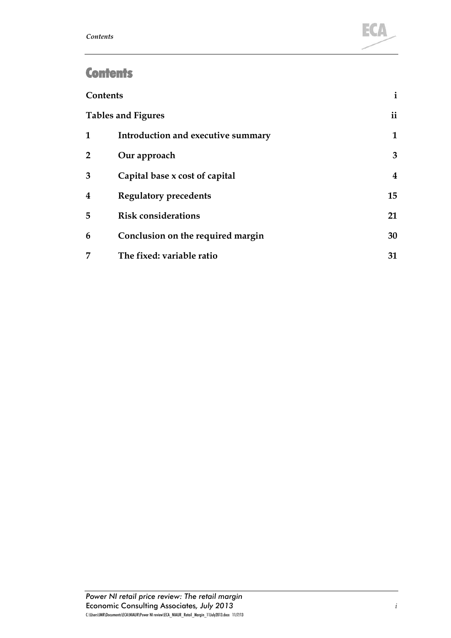

# **Contents**

| <b>Contents</b> |                                    | i             |
|-----------------|------------------------------------|---------------|
|                 | <b>Tables and Figures</b>          | $\mathbf{ii}$ |
| 1               | Introduction and executive summary | 1             |
| 2               | Our approach                       | 3             |
| 3               | Capital base x cost of capital     | 4             |
| 4               | <b>Regulatory precedents</b>       | 15            |
| 5               | <b>Risk considerations</b>         | 21            |
| 6               | Conclusion on the required margin  | 30            |
| 7               | The fixed: variable ratio          | 31            |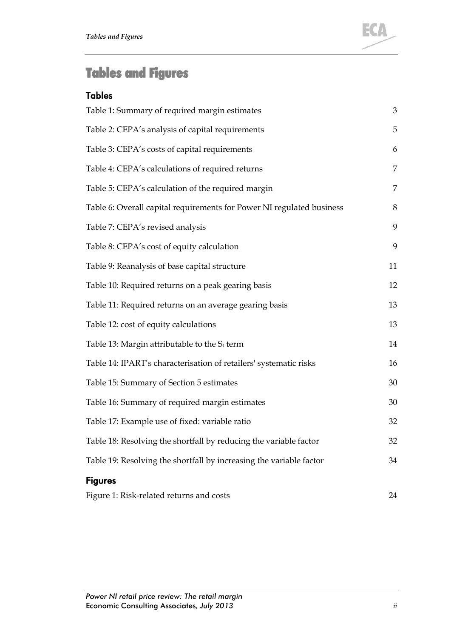

# Tables and Figures

#### **Tables**

| Table 1: Summary of required margin estimates                         | $\mathfrak{Z}$ |
|-----------------------------------------------------------------------|----------------|
| Table 2: CEPA's analysis of capital requirements                      | 5              |
| Table 3: CEPA's costs of capital requirements                         | 6              |
| Table 4: CEPA's calculations of required returns                      | $\overline{7}$ |
| Table 5: CEPA's calculation of the required margin                    | 7              |
| Table 6: Overall capital requirements for Power NI regulated business | 8              |
| Table 7: CEPA's revised analysis                                      | 9              |
| Table 8: CEPA's cost of equity calculation                            | 9              |
| Table 9: Reanalysis of base capital structure                         | 11             |
| Table 10: Required returns on a peak gearing basis                    | 12             |
| Table 11: Required returns on an average gearing basis                | 13             |
| Table 12: cost of equity calculations                                 | 13             |
| Table 13: Margin attributable to the $S_t$ term                       | 14             |
| Table 14: IPART's characterisation of retailers' systematic risks     | 16             |
| Table 15: Summary of Section 5 estimates                              | 30             |
| Table 16: Summary of required margin estimates                        | 30             |
| Table 17: Example use of fixed: variable ratio                        | 32             |
| Table 18: Resolving the shortfall by reducing the variable factor     | 32             |
| Table 19: Resolving the shortfall by increasing the variable factor   | 34             |
| <b>Figures</b>                                                        |                |
| Figure 1: Risk-related returns and costs                              | 24             |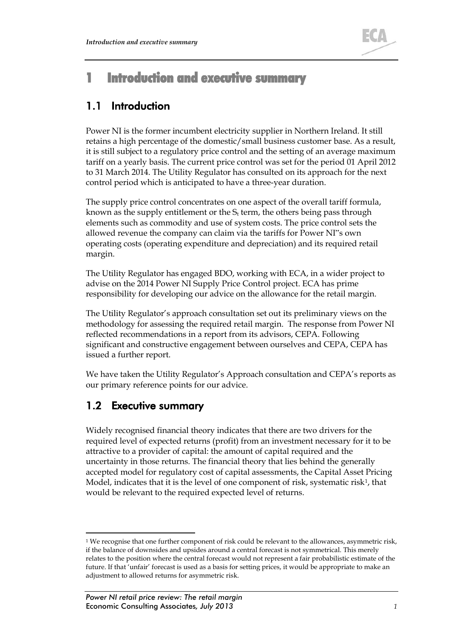

# 1 Introduction and executive summary

# 1.1 Introduction

Power NI is the former incumbent electricity supplier in Northern Ireland. It still retains a high percentage of the domestic/small business customer base. As a result, it is still subject to a regulatory price control and the setting of an average maximum tariff on a yearly basis. The current price control was set for the period 01 April 2012 to 31 March 2014. The Utility Regulator has consulted on its approach for the next control period which is anticipated to have a three-year duration.

The supply price control concentrates on one aspect of the overall tariff formula, known as the supply entitlement or the  $S_t$  term, the others being pass through elements such as commodity and use of system costs. The price control sets the allowed revenue the company can claim via the tariffs for Power NI"s own operating costs (operating expenditure and depreciation) and its required retail margin.

The Utility Regulator has engaged BDO, working with ECA, in a wider project to advise on the 2014 Power NI Supply Price Control project. ECA has prime responsibility for developing our advice on the allowance for the retail margin.

The Utility Regulator's approach consultation set out its preliminary views on the methodology for assessing the required retail margin. The response from Power NI reflected recommendations in a report from its advisors, CEPA. Following significant and constructive engagement between ourselves and CEPA, CEPA has issued a further report.

We have taken the Utility Regulator's Approach consultation and CEPA's reports as our primary reference points for our advice.

## 1.2 Executive summary

Widely recognised financial theory indicates that there are two drivers for the required level of expected returns (profit) from an investment necessary for it to be attractive to a provider of capital: the amount of capital required and the uncertainty in those returns. The financial theory that lies behind the generally accepted model for regulatory cost of capital assessments, the Capital Asset Pricing Model, indicates that it is the level of one component of risk, systematic risk<sup>1</sup>, that would be relevant to the required expected level of returns.

<span id="page-3-0"></span><sup>&</sup>lt;sup>1</sup> We recognise that one further component of risk could be relevant to the allowances, asymmetric risk, if the balance of downsides and upsides around a central forecast is not symmetrical. This merely relates to the position where the central forecast would not represent a fair probabilistic estimate of the future. If that 'unfair' forecast is used as a basis for setting prices, it would be appropriate to make an adjustment to allowed returns for asymmetric risk.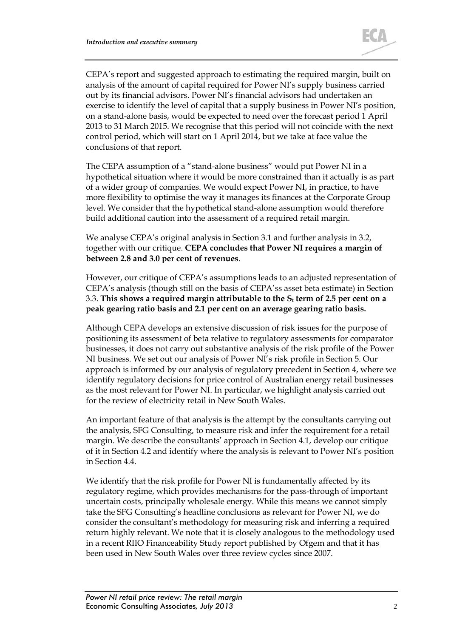

CEPA's report and suggested approach to estimating the required margin, built on analysis of the amount of capital required for Power NI's supply business carried out by its financial advisors. Power NI's financial advisors had undertaken an exercise to identify the level of capital that a supply business in Power NI's position, on a stand-alone basis, would be expected to need over the forecast period 1 April 2013 to 31 March 2015. We recognise that this period will not coincide with the next control period, which will start on 1 April 2014, but we take at face value the conclusions of that report.

The CEPA assumption of a "stand-alone business" would put Power NI in a hypothetical situation where it would be more constrained than it actually is as part of a wider group of companies. We would expect Power NI, in practice, to have more flexibility to optimise the way it manages its finances at the Corporate Group level. We consider that the hypothetical stand-alone assumption would therefore build additional caution into the assessment of a required retail margin.

We analyse CEPA's original analysis in Section [3.1](#page-7-0) and further analysis in [3.2,](#page-10-0) together with our critique. **CEPA concludes that Power NI requires a margin of between 2.8 and 3.0 per cent of revenues**.

However, our critique of CEPA's assumptions leads to an adjusted representation of CEPA's analysis (though still on the basis of CEPA'ss asset beta estimate) in Section [3.3.](#page-12-0) This shows a required margin attributable to the S<sub>t</sub> term of 2.5 per cent on a **peak gearing ratio basis and 2.1 per cent on an average gearing ratio basis.**

Although CEPA develops an extensive discussion of risk issues for the purpose of positioning its assessment of beta relative to regulatory assessments for comparator businesses, it does not carry out substantive analysis of the risk profile of the Power NI business. We set out our analysis of Power NI's risk profile in Section [5.](#page-23-0) Our approach is informed by our analysis of regulatory precedent in Section [4,](#page-17-0) where we identify regulatory decisions for price control of Australian energy retail businesses as the most relevant for Power NI. In particular, we highlight analysis carried out for the review of electricity retail in New South Wales.

An important feature of that analysis is the attempt by the consultants carrying out the analysis, SFG Consulting, to measure risk and infer the requirement for a retail margin. We describe the consultants' approach in Section [4.1,](#page-17-1) develop our critique of it in Section [4.2](#page-21-0) and identify where the analysis is relevant to Power NI's position in Section [4.4.](#page-22-0)

We identify that the risk profile for Power NI is fundamentally affected by its regulatory regime, which provides mechanisms for the pass-through of important uncertain costs, principally wholesale energy. While this means we cannot simply take the SFG Consulting's headline conclusions as relevant for Power NI, we do consider the consultant's methodology for measuring risk and inferring a required return highly relevant. We note that it is closely analogous to the methodology used in a recent RIIO Financeability Study report published by Ofgem and that it has been used in New South Wales over three review cycles since 2007.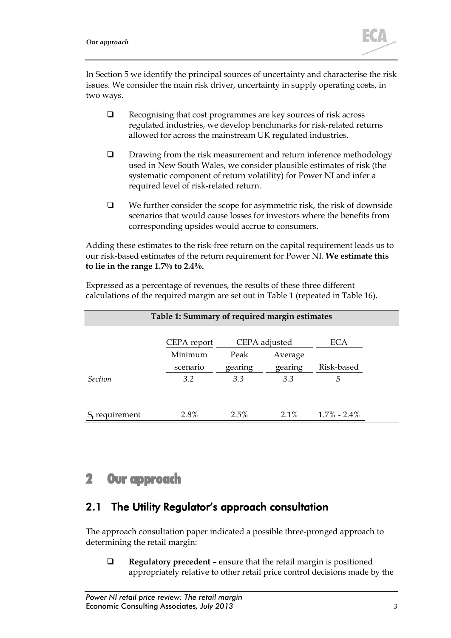

In Section 5 we identify the principal sources of uncertainty and characterise the risk issues. We consider the main risk driver, uncertainty in supply operating costs, in two ways.

- Recognising that cost programmes are key sources of risk across regulated industries, we develop benchmarks for risk-related returns allowed for across the mainstream UK regulated industries.
- $\Box$  Drawing from the risk measurement and return inference methodology used in New South Wales, we consider plausible estimates of risk (the systematic component of return volatility) for Power NI and infer a required level of risk-related return.
- $\Box$  We further consider the scope for asymmetric risk, the risk of downside scenarios that would cause losses for investors where the benefits from corresponding upsides would accrue to consumers.

Adding these estimates to the risk-free return on the capital requirement leads us to our risk-based estimates of the return requirement for Power NI. **We estimate this to lie in the range 1.7% to 2.4%.**

Expressed as a percentage of revenues, the results of these three different calculations of the required margin are set out in [Table 1](#page-5-0) (repeated in [Table 16\)](#page-32-0).

<span id="page-5-0"></span>

| Table 1: Summary of required margin estimates |             |         |               |                |  |
|-----------------------------------------------|-------------|---------|---------------|----------------|--|
|                                               | CEPA report |         | CEPA adjusted | <b>ECA</b>     |  |
|                                               | Minimum     | Peak    | Average       |                |  |
|                                               | scenario    | gearing | gearing       | Risk-based     |  |
| <b>Section</b>                                | 3.2         | 3.3     | 3.3           | 5              |  |
|                                               |             |         |               |                |  |
| requirement                                   | 2.8%        | 2.5%    | $2.1\%$       | $1.7\%$ - 2.4% |  |

## 2 Our approach

### <span id="page-5-1"></span>2.1 The Utility Regulator's approach consultation

The approach consultation paper indicated a possible three-pronged approach to determining the retail margin:

 **Regulatory precedent** – ensure that the retail margin is positioned appropriately relative to other retail price control decisions made by the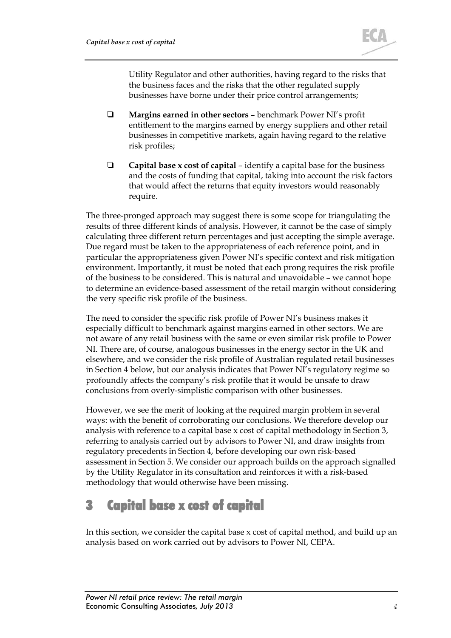

Utility Regulator and other authorities, having regard to the risks that the business faces and the risks that the other regulated supply businesses have borne under their price control arrangements;

- **Margins earned in other sectors** benchmark Power NI's profit entitlement to the margins earned by energy suppliers and other retail businesses in competitive markets, again having regard to the relative risk profiles;
- **Capital base x cost of capital** identify a capital base for the business and the costs of funding that capital, taking into account the risk factors that would affect the returns that equity investors would reasonably require.

The three-pronged approach may suggest there is some scope for triangulating the results of three different kinds of analysis. However, it cannot be the case of simply calculating three different return percentages and just accepting the simple average. Due regard must be taken to the appropriateness of each reference point, and in particular the appropriateness given Power NI's specific context and risk mitigation environment. Importantly, it must be noted that each prong requires the risk profile of the business to be considered. This is natural and unavoidable – we cannot hope to determine an evidence-based assessment of the retail margin without considering the very specific risk profile of the business.

The need to consider the specific risk profile of Power NI's business makes it especially difficult to benchmark against margins earned in other sectors. We are not aware of any retail business with the same or even similar risk profile to Power NI. There are, of course, analogous businesses in the energy sector in the UK and elsewhere, and we consider the risk profile of Australian regulated retail businesses in Section [4](#page-17-0) below, but our analysis indicates that Power NI's regulatory regime so profoundly affects the company's risk profile that it would be unsafe to draw conclusions from overly-simplistic comparison with other businesses.

However, we see the merit of looking at the required margin problem in several ways: with the benefit of corroborating our conclusions. We therefore develop our analysis with reference to a capital base x cost of capital methodology in Section [3,](#page-6-0) referring to analysis carried out by advisors to Power NI, and draw insights from regulatory precedents in Section [4,](#page-17-0) before developing our own risk-based assessment in Section [5.](#page-23-0) We consider our approach builds on the approach signalled by the Utility Regulator in its consultation and reinforces it with a risk-based methodology that would otherwise have been missing.

# <span id="page-6-0"></span>3 Capital base x cost of capital

In this section, we consider the capital base x cost of capital method, and build up an analysis based on work carried out by advisors to Power NI, CEPA.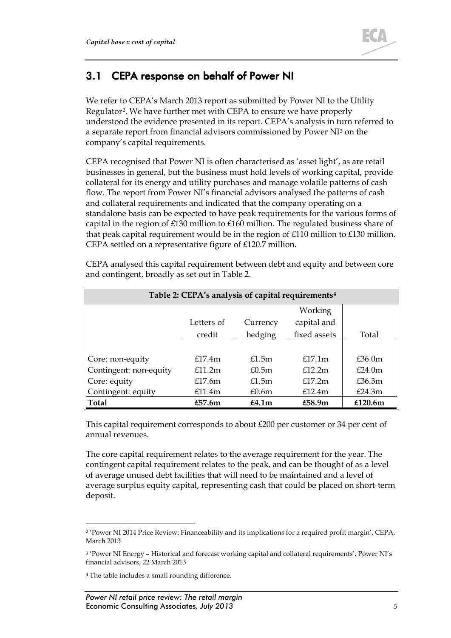

### <span id="page-7-0"></span>3.1 CEPA response on behalf of Power NI

We refer to CEPA's March 2013 report as submitted by Power NI to the Utility Regulator[2](#page-7-2). We have further met with CEPA to ensure we have properly understood the evidence presented in its report. CEPA's analysis in turn referred to a separate report from financial advisors commissioned by Power NI[3](#page-7-3) on the company's capital requirements.

CEPA recognised that Power NI is often characterised as 'asset light', as are retail businesses in general, but the business must hold levels of working capital, provide collateral for its energy and utility purchases and manage volatile patterns of cash flow. The report from Power NI's financial advisors analysed the patterns of cash and collateral requirements and indicated that the company operating on a standalone basis can be expected to have peak requirements for the various forms of capital in the region of £130 million to £160 million. The regulated business share of that peak capital requirement would be in the region of £110 million to £130 million. CEPA settled on a representative figure of £120.7 million.

<span id="page-7-1"></span>

| Table 2: CEPA's analysis of capital requirements <sup>4</sup> |            |                   |              |            |  |
|---------------------------------------------------------------|------------|-------------------|--------------|------------|--|
|                                                               |            |                   | Working      |            |  |
|                                                               | Letters of | Currency          | capital and  |            |  |
|                                                               | credit     | hedging           | fixed assets | Total      |  |
|                                                               |            |                   |              |            |  |
| Core: non-equity                                              | f17.4m     | £1.5m             | f17.1m       | £36.0m     |  |
| Contingent: non-equity                                        | £11.2m     | £0.5m             | £12.2m       | £24.0m     |  |
| Core: equity                                                  | £17.6m     | £1.5m             | f17.2m       | £36.3m     |  |
| Contingent: equity                                            | £11.4m     | £0.6m             | £12.4m       | £24.3m     |  |
| <b>Total</b>                                                  | £57.6m     | £4.1 <sub>m</sub> | £58.9m       | £120.6 $m$ |  |

CEPA analysed this capital requirement between debt and equity and between core and contingent, broadly as set out in [Table 2.](#page-7-1)

This capital requirement corresponds to about £200 per customer or 34 per cent of annual revenues.

The core capital requirement relates to the average requirement for the year. The contingent capital requirement relates to the peak, and can be thought of as a level of average unused debt facilities that will need to be maintained and a level of average surplus equity capital, representing cash that could be placed on short-term deposit.

<span id="page-7-2"></span><sup>&</sup>lt;sup>2</sup> 'Power NI 2014 Price Review: Financeability and its implications for a required profit margin', CEPA, March 2013

<span id="page-7-3"></span><sup>3</sup> 'Power NI Energy – Historical and forecast working capital and collateral requirements', Power NI's financial advisors, 22 March 2013

<span id="page-7-4"></span><sup>4</sup> The table includes a small rounding difference.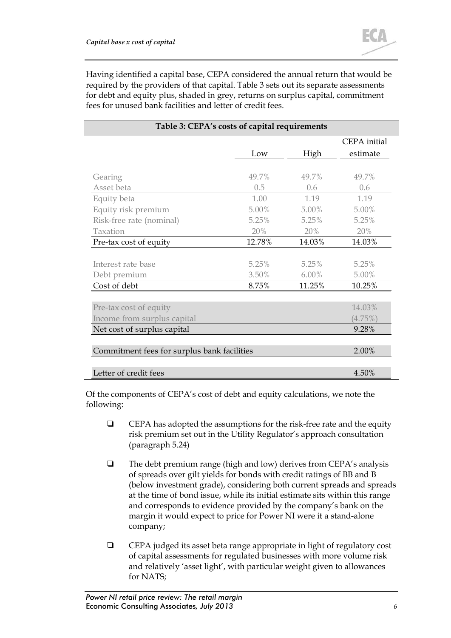Having identified a capital base, CEPA considered the annual return that would be required by the providers of that capital. [Table 3](#page-8-0) sets out its separate assessments for debt and equity plus, shaded in grey, returns on surplus capital, commitment fees for unused bank facilities and letter of credit fees.

<span id="page-8-0"></span>

| Table 3: CEPA's costs of capital requirements |        |          |              |  |
|-----------------------------------------------|--------|----------|--------------|--|
|                                               |        |          | CEPA initial |  |
|                                               | Low    | High     | estimate     |  |
|                                               |        |          |              |  |
| Gearing                                       | 49.7%  | 49.7%    | 49.7%        |  |
| Asset beta                                    | 0.5    | 0.6      | 0.6          |  |
| Equity beta                                   | 1.00   | 1.19     | 1.19         |  |
| Equity risk premium                           | 5.00%  | 5.00%    | $5.00\%$     |  |
| Risk-free rate (nominal)                      | 5.25%  | 5.25%    | 5.25%        |  |
| Taxation                                      | 20%    | 20%      | 20%          |  |
| Pre-tax cost of equity                        | 12.78% | 14.03%   | 14.03%       |  |
|                                               |        |          |              |  |
| Interest rate base                            | 5.25%  | 5.25%    | 5.25%        |  |
| Debt premium                                  | 3.50%  | $6.00\%$ | 5.00%        |  |
| Cost of debt                                  | 8.75%  | 11.25%   | 10.25%       |  |
|                                               |        |          |              |  |
| Pre-tax cost of equity                        |        |          | 14.03%       |  |
| Income from surplus capital                   |        |          | $(4.75\%)$   |  |
| Net cost of surplus capital                   |        |          | 9.28%        |  |
|                                               |        |          |              |  |
| Commitment fees for surplus bank facilities   | 2.00%  |          |              |  |
|                                               |        |          |              |  |
| Letter of credit fees                         |        |          | 4.50%        |  |

Of the components of CEPA's cost of debt and equity calculations, we note the following:

- $\Box$  CEPA has adopted the assumptions for the risk-free rate and the equity risk premium set out in the Utility Regulator's approach consultation (paragraph 5.24)
- $\Box$  The debt premium range (high and low) derives from CEPA's analysis of spreads over gilt yields for bonds with credit ratings of BB and B (below investment grade), considering both current spreads and spreads at the time of bond issue, while its initial estimate sits within this range and corresponds to evidence provided by the company's bank on the margin it would expect to price for Power NI were it a stand-alone company;
- CEPA judged its asset beta range appropriate in light of regulatory cost of capital assessments for regulated businesses with more volume risk and relatively 'asset light', with particular weight given to allowances for NATS;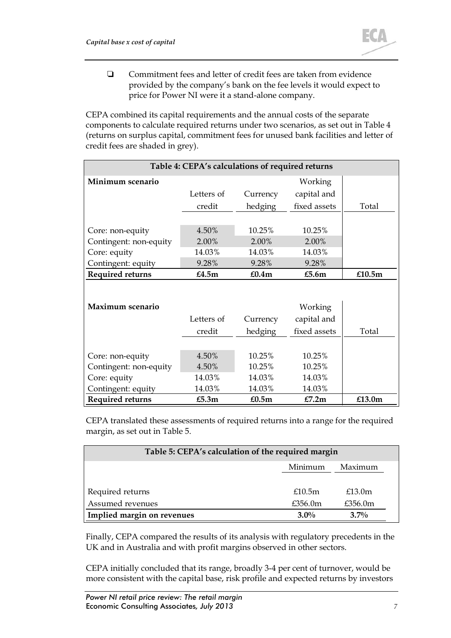

 Commitment fees and letter of credit fees are taken from evidence provided by the company's bank on the fee levels it would expect to price for Power NI were it a stand-alone company.

CEPA combined its capital requirements and the annual costs of the separate components to calculate required returns under two scenarios, as set out i[n Table 4](#page-9-0) (returns on surplus capital, commitment fees for unused bank facilities and letter of credit fees are shaded in grey).

<span id="page-9-0"></span>

| Table 4: CEPA's calculations of required returns |            |          |              |           |  |
|--------------------------------------------------|------------|----------|--------------|-----------|--|
| Minimum scenario                                 |            |          | Working      |           |  |
|                                                  | Letters of | Currency | capital and  |           |  |
|                                                  | credit     | hedging  | fixed assets | Total     |  |
|                                                  |            |          |              |           |  |
| Core: non-equity                                 | 4.50%      | 10.25%   | 10.25%       |           |  |
| Contingent: non-equity                           | 2.00%      | 2.00%    | 2.00%        |           |  |
| Core: equity                                     | 14.03%     | 14.03%   | 14.03%       |           |  |
| Contingent: equity                               | 9.28%      | 9.28%    | 9.28%        |           |  |
| <b>Required returns</b>                          | £4.5m      | £0.4m    | £5.6 $m$     | £10.5 $m$ |  |
|                                                  |            |          |              |           |  |
| Maximum scenario                                 |            |          | Working      |           |  |
|                                                  | Letters of | Currency | capital and  |           |  |
|                                                  | credit     | hedging  | fixed assets | Total     |  |
|                                                  |            |          |              |           |  |
| Core: non-equity                                 | 4.50%      | 10.25%   | 10.25%       |           |  |
| Contingent: non-equity                           | 4.50%      | 10.25%   | 10.25%       |           |  |
| Core: equity                                     | 14.03%     | 14.03%   | 14.03%       |           |  |
| Contingent: equity                               | 14.03%     | 14.03%   | 14.03%       |           |  |
| Required returns                                 | £5.3m      | £0.5m    | £7.2m        | £13.0m    |  |

CEPA translated these assessments of required returns into a range for the required margin, as set out in [Table 5.](#page-9-1)

<span id="page-9-1"></span>

| Table 5: CEPA's calculation of the required margin |         |         |  |
|----------------------------------------------------|---------|---------|--|
|                                                    | Minimum | Maximum |  |
| Required returns                                   | £10.5m  | £13.0m  |  |
| Assumed revenues                                   | £356.0m | £356.0m |  |
| Implied margin on revenues<br>$3.0\%$<br>$3.7\%$   |         |         |  |

Finally, CEPA compared the results of its analysis with regulatory precedents in the UK and in Australia and with profit margins observed in other sectors.

CEPA initially concluded that its range, broadly 3-4 per cent of turnover, would be more consistent with the capital base, risk profile and expected returns by investors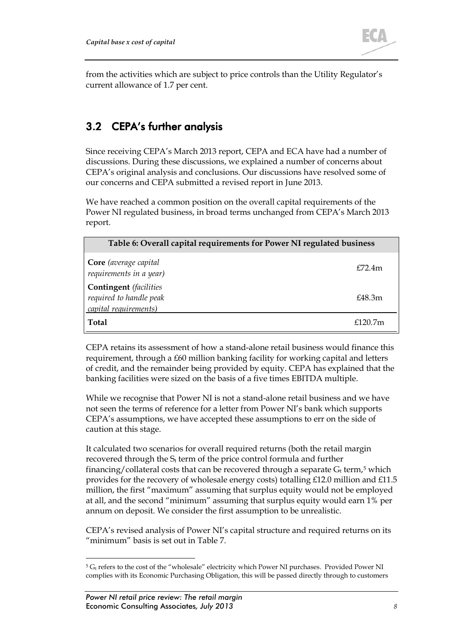

from the activities which are subject to price controls than the Utility Regulator's current allowance of 1.7 per cent.

# <span id="page-10-0"></span>3.2 CEPA's further analysis

Since receiving CEPA's March 2013 report, CEPA and ECA have had a number of discussions. During these discussions, we explained a number of concerns about CEPA's original analysis and conclusions. Our discussions have resolved some of our concerns and CEPA submitted a revised report in June 2013.

We have reached a common position on the overall capital requirements of the Power NI regulated business, in broad terms unchanged from CEPA's March 2013 report.

| Table 6: Overall capital requirements for Power NI regulated business             |                     |  |
|-----------------------------------------------------------------------------------|---------------------|--|
| Core (average capital<br>requirements in a year)                                  | fZ2.4m              |  |
| <b>Contingent</b> (facilities<br>required to handle peak<br>capital requirements) | £48.3m              |  |
| <b>Total</b>                                                                      | f120.7 <sub>m</sub> |  |

CEPA retains its assessment of how a stand-alone retail business would finance this requirement, through a £60 million banking facility for working capital and letters of credit, and the remainder being provided by equity. CEPA has explained that the banking facilities were sized on the basis of a five times EBITDA multiple.

While we recognise that Power NI is not a stand-alone retail business and we have not seen the terms of reference for a letter from Power NI's bank which supports CEPA's assumptions, we have accepted these assumptions to err on the side of caution at this stage.

It calculated two scenarios for overall required returns (both the retail margin recovered through the  $S_t$  term of the price control formula and further financing/collateral costs that can be recovered through a separate  $G_t$  term,<sup>[5](#page-10-1)</sup> which provides for the recovery of wholesale energy costs) totalling £12.0 million and £11.5 million, the first "maximum" assuming that surplus equity would not be employed at all, and the second "minimum" assuming that surplus equity would earn 1% per annum on deposit. We consider the first assumption to be unrealistic.

CEPA's revised analysis of Power NI's capital structure and required returns on its "minimum" basis is set out in [Table 7.](#page-11-0)

<span id="page-10-1"></span><sup>&</sup>lt;sup>5</sup> G<sub>t</sub> refers to the cost of the "wholesale" electricity which Power NI purchases. Provided Power NI complies with its Economic Purchasing Obligation, this will be passed directly through to customers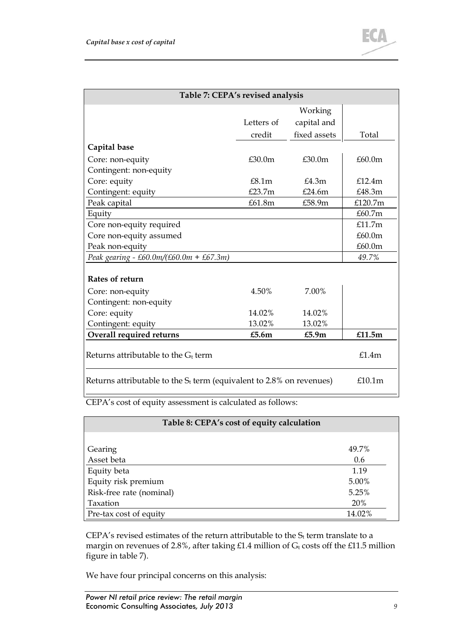

<span id="page-11-0"></span>

| Table 7: CEPA's revised analysis                                        |            |              |         |  |
|-------------------------------------------------------------------------|------------|--------------|---------|--|
|                                                                         |            | Working      |         |  |
|                                                                         | Letters of | capital and  |         |  |
|                                                                         | credit     | fixed assets | Total   |  |
| Capital base                                                            |            |              |         |  |
| Core: non-equity                                                        | £30.0m     | £30.0m       | £60.0m  |  |
| Contingent: non-equity                                                  |            |              |         |  |
| Core: equity                                                            | £8.1m      | £4.3m        | f12.4m  |  |
| Contingent: equity                                                      | £23.7m     | £24.6m       | £48.3m  |  |
| Peak capital                                                            | £61.8m     | £58.9m       | £120.7m |  |
| Equity                                                                  |            |              | £60.7m  |  |
| Core non-equity required                                                |            |              | £11.7m  |  |
| Core non-equity assumed                                                 |            |              | £60.0m  |  |
| Peak non-equity                                                         |            |              | £60.0m  |  |
| Peak gearing - £60.0m/(£60.0m + £67.3m)                                 |            |              | 49.7%   |  |
| Rates of return                                                         |            |              |         |  |
| Core: non-equity                                                        | 4.50%      | 7.00%        |         |  |
| Contingent: non-equity                                                  |            |              |         |  |
| Core: equity                                                            | 14.02%     | 14.02%       |         |  |
| Contingent: equity                                                      | 13.02%     | 13.02%       |         |  |
| Overall required returns                                                | £5.6m      | £5.9 $m$     | £11.5m  |  |
| Returns attributable to the $G_t$ term                                  |            |              | £1.4m   |  |
| Returns attributable to the $S_t$ term (equivalent to 2.8% on revenues) |            |              | £10.1m  |  |

CEPA's cost of equity assessment is calculated as follows:

| Table 8: CEPA's cost of equity calculation |        |
|--------------------------------------------|--------|
|                                            |        |
| Gearing                                    | 49.7%  |
| Asset beta                                 | 0.6    |
| Equity beta                                | 1.19   |
| Equity risk premium                        | 5.00%  |
| Risk-free rate (nominal)                   | 5.25%  |
| Taxation                                   | 20%    |
| Pre-tax cost of equity                     | 14.02% |

CEPA's revised estimates of the return attributable to the  $S_t$  term translate to a margin on revenues of 2.8%, after taking £1.4 million of  $G_t$  costs off the £11.5 million figure in table 7).

We have four principal concerns on this analysis: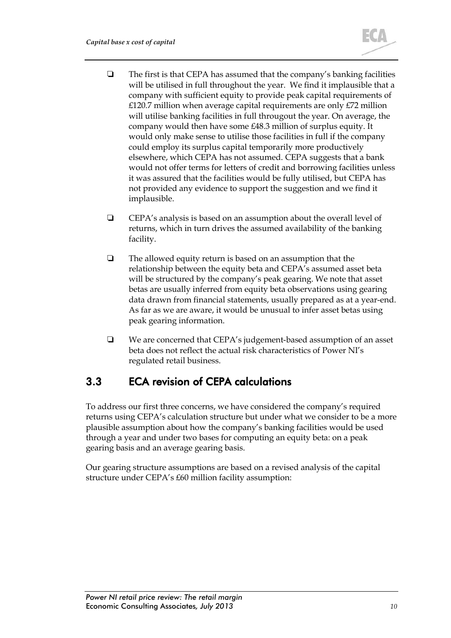- $\Box$  The first is that CEPA has assumed that the company's banking facilities will be utilised in full throughout the year. We find it implausible that a company with sufficient equity to provide peak capital requirements of £120.7 million when average capital requirements are only £72 million will utilise banking facilities in full througout the year. On average, the company would then have some £48.3 million of surplus equity. It would only make sense to utilise those facilities in full if the company could employ its surplus capital temporarily more productively elsewhere, which CEPA has not assumed. CEPA suggests that a bank would not offer terms for letters of credit and borrowing facilities unless it was assured that the facilities would be fully utilised, but CEPA has not provided any evidence to support the suggestion and we find it implausible.
- $\Box$  CEPA's analysis is based on an assumption about the overall level of returns, which in turn drives the assumed availability of the banking facility.
- $\Box$  The allowed equity return is based on an assumption that the relationship between the equity beta and CEPA's assumed asset beta will be structured by the company's peak gearing. We note that asset betas are usually inferred from equity beta observations using gearing data drawn from financial statements, usually prepared as at a year-end. As far as we are aware, it would be unusual to infer asset betas using peak gearing information.
- We are concerned that CEPA's judgement-based assumption of an asset beta does not reflect the actual risk characteristics of Power NI's regulated retail business.

## <span id="page-12-0"></span>3.3 ECA revision of CEPA calculations

To address our first three concerns, we have considered the company's required returns using CEPA's calculation structure but under what we consider to be a more plausible assumption about how the company's banking facilities would be used through a year and under two bases for computing an equity beta: on a peak gearing basis and an average gearing basis.

Our gearing structure assumptions are based on a revised analysis of the capital structure under CEPA's £60 million facility assumption: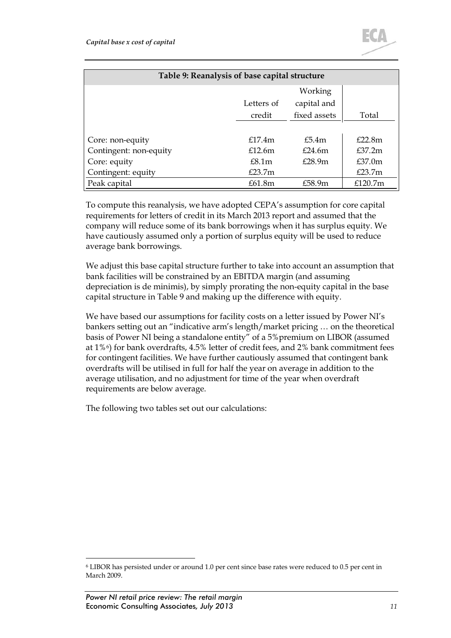

<span id="page-13-0"></span>

| Table 9: Reanalysis of base capital structure |            |              |                    |  |
|-----------------------------------------------|------------|--------------|--------------------|--|
|                                               |            | Working      |                    |  |
|                                               | Letters of | capital and  |                    |  |
|                                               | credit     | fixed assets | Total              |  |
|                                               |            |              |                    |  |
| Core: non-equity                              | f17.4m     | £5.4m        | £22.8m             |  |
| Contingent: non-equity                        | £12.6m     | £24.6m       | f37.2m             |  |
| Core: equity                                  | E8.1m      | £28.9m       | £37.0 <sub>m</sub> |  |
| Contingent: equity                            | £23.7 $m$  |              | £23.7 $m$          |  |
| Peak capital                                  | £61.8m     | £58.9m       | £120.7 $m$         |  |

To compute this reanalysis, we have adopted CEPA's assumption for core capital requirements for letters of credit in its March 2013 report and assumed that the company will reduce some of its bank borrowings when it has surplus equity. We have cautiously assumed only a portion of surplus equity will be used to reduce average bank borrowings.

We adjust this base capital structure further to take into account an assumption that bank facilities will be constrained by an EBITDA margin (and assuming depreciation is de minimis), by simply prorating the non-equity capital in the base capital structure i[n Table 9](#page-13-0) and making up the difference with equity.

We have based our assumptions for facility costs on a letter issued by Power NI's bankers setting out an "indicative arm's length/market pricing … on the theoretical basis of Power NI being a standalone entity" of a 5%premium on LIBOR (assumed at 1%[6](#page-13-1)) for bank overdrafts, 4.5% letter of credit fees, and 2% bank commitment fees for contingent facilities. We have further cautiously assumed that contingent bank overdrafts will be utilised in full for half the year on average in addition to the average utilisation, and no adjustment for time of the year when overdraft requirements are below average.

The following two tables set out our calculations:

<span id="page-13-1"></span> <sup>6</sup> LIBOR has persisted under or around 1.0 per cent since base rates were reduced to 0.5 per cent in March 2009.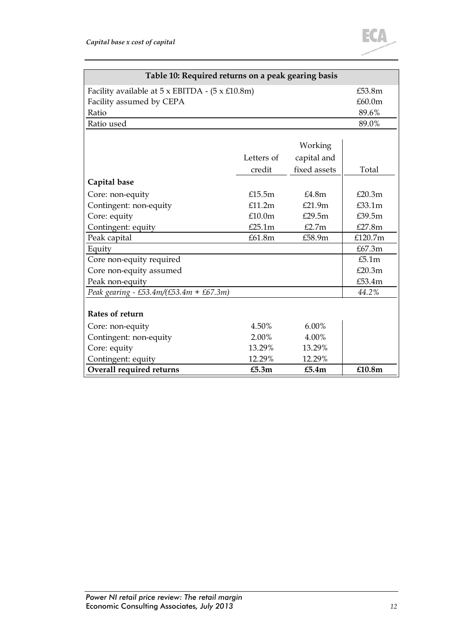

| Table 10: Required returns on a peak gearing basis             |            |              |         |  |
|----------------------------------------------------------------|------------|--------------|---------|--|
| Facility available at $5 \times$ EBITDA - $(5 \times £10.8$ m) | £53.8m     |              |         |  |
| Facility assumed by CEPA                                       |            |              | £60.0m  |  |
| Ratio                                                          |            |              | 89.6%   |  |
| Ratio used                                                     |            |              | 89.0%   |  |
|                                                                |            |              |         |  |
|                                                                |            | Working      |         |  |
|                                                                | Letters of | capital and  |         |  |
|                                                                | credit     | fixed assets | Total   |  |
| Capital base                                                   |            |              |         |  |
| Core: non-equity                                               | £15.5 $m$  | E4.8m        | £20.3m  |  |
| Contingent: non-equity                                         | £11.2m     | £21.9m       | £33.1m  |  |
| Core: equity                                                   | £10.0m     | £29.5m       | £39.5m  |  |
| Contingent: equity                                             | £25.1m     | £2.7m        | £27.8m  |  |
| Peak capital                                                   | £61.8m     | £58.9m       | £120.7m |  |
| Equity                                                         |            |              | £67.3m  |  |
| Core non-equity required                                       |            |              | £5.1m   |  |
| Core non-equity assumed                                        |            |              | £20.3m  |  |
| Peak non-equity                                                |            |              | £53.4m  |  |
| Peak gearing - £53.4m/(£53.4m + £67.3m)                        |            |              | 44.2%   |  |
|                                                                |            |              |         |  |
| Rates of return                                                |            |              |         |  |
| Core: non-equity                                               | 4.50%      | $6.00\%$     |         |  |
| Contingent: non-equity                                         | 2.00%      | 4.00%        |         |  |
| Core: equity                                                   | 13.29%     | 13.29%       |         |  |
| Contingent: equity                                             | 12.29%     | 12.29%       |         |  |
| Overall required returns                                       | £5.3m      | £5.4m        | £10.8m  |  |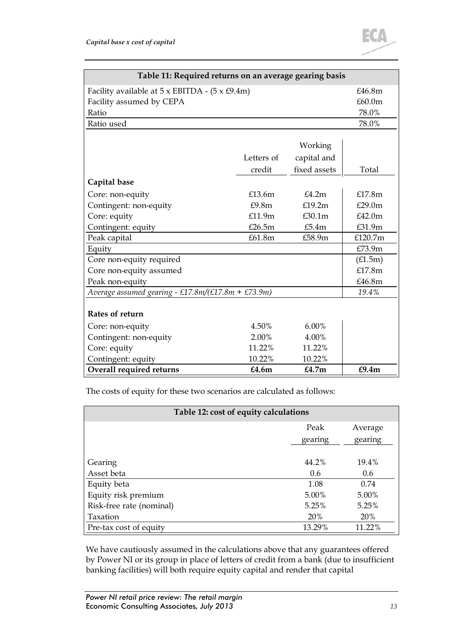

| Table 11: Required returns on an average gearing basis        |            |              |                    |  |
|---------------------------------------------------------------|------------|--------------|--------------------|--|
| Facility available at $5 \times$ EBITDA - $(5 \times £9.4$ m) | £46.8m     |              |                    |  |
| Facility assumed by CEPA                                      |            |              | £60.0 <sub>m</sub> |  |
| Ratio                                                         |            |              | 78.0%              |  |
| Ratio used                                                    |            |              | 78.0%              |  |
|                                                               |            |              |                    |  |
|                                                               |            | Working      |                    |  |
|                                                               | Letters of | capital and  |                    |  |
|                                                               | credit     | fixed assets | Total              |  |
| Capital base                                                  |            |              |                    |  |
| Core: non-equity                                              | £13.6 $m$  | £4.2m        | £17.8m             |  |
| Contingent: non-equity                                        | £9.8m      | £19.2m       | £29.0m             |  |
| Core: equity                                                  | £11.9m     | £30.1m       | £42.0m             |  |
| Contingent: equity                                            | £26.5m     | £5.4m        | £31.9m             |  |
| Peak capital                                                  | £61.8m     | £58.9m       | £120.7m            |  |
| Equity                                                        |            |              | £73.9m             |  |
| Core non-equity required                                      |            |              | (E1.5m)            |  |
| Core non-equity assumed                                       |            |              | £17.8m             |  |
| Peak non-equity                                               |            |              | £46.8m             |  |
| Average assumed gearing - £17.8m/(£17.8m + £73.9m)            |            |              | 19.4%              |  |
|                                                               |            |              |                    |  |
| Rates of return                                               |            |              |                    |  |
| Core: non-equity                                              | 4.50%      | $6.00\%$     |                    |  |
| Contingent: non-equity                                        | 2.00%      | 4.00%        |                    |  |
| Core: equity                                                  | 11.22%     | 11.22%       |                    |  |
| Contingent: equity                                            | 10.22%     | 10.22%       |                    |  |
| Overall required returns                                      | £4.6m      | £4.7m        | £9.4m              |  |

The costs of equity for these two scenarios are calculated as follows:

| Table 12: cost of equity calculations |                 |         |  |
|---------------------------------------|-----------------|---------|--|
|                                       | Peak<br>Average |         |  |
|                                       | gearing         | gearing |  |
|                                       |                 |         |  |
| Gearing                               | 44.2%           | 19.4%   |  |
| Asset beta                            | 0.6             | 0.6     |  |
| Equity beta                           | 1.08            | 0.74    |  |
| Equity risk premium                   | 5.00%           | 5.00%   |  |
| Risk-free rate (nominal)              | 5.25%           | 5.25%   |  |
| Taxation                              | <b>20%</b>      | 20%     |  |
| Pre-tax cost of equity                | 13.29%          | 11.22%  |  |

We have cautiously assumed in the calculations above that any guarantees offered by Power NI or its group in place of letters of credit from a bank (due to insufficient banking facilities) will both require equity capital and render that capital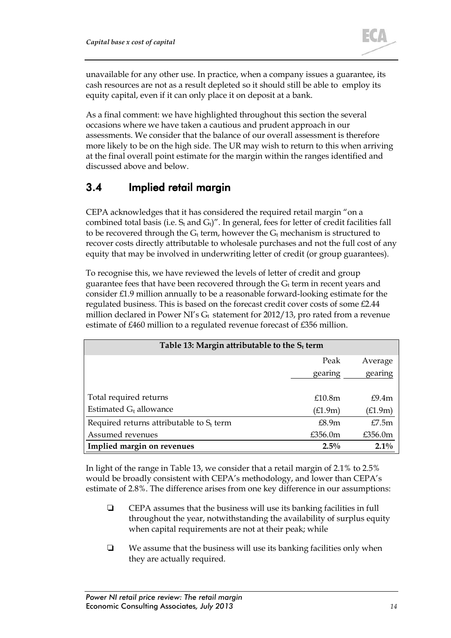unavailable for any other use. In practice, when a company issues a guarantee, its cash resources are not as a result depleted so it should still be able to employ its equity capital, even if it can only place it on deposit at a bank.

As a final comment: we have highlighted throughout this section the several occasions where we have taken a cautious and prudent approach in our assessments. We consider that the balance of our overall assessment is therefore more likely to be on the high side. The UR may wish to return to this when arriving at the final overall point estimate for the margin within the ranges identified and discussed above and below.

### 3.4 Implied retail margin

CEPA acknowledges that it has considered the required retail margin "on a combined total basis (i.e.  $S_t$  and  $G_t$ )". In general, fees for letter of credit facilities fall to be recovered through the  $G_t$  term, however the  $G_t$  mechanism is structured to recover costs directly attributable to wholesale purchases and not the full cost of any equity that may be involved in underwriting letter of credit (or group guarantees).

To recognise this, we have reviewed the levels of letter of credit and group guarantee fees that have been recovered through the  $G_t$  term in recent years and consider £1.9 million annually to be a reasonable forward-looking estimate for the regulated business. This is based on the forecast credit cover costs of some £2.44 million declared in Power NI's  $G_t$  statement for 2012/13, pro rated from a revenue estimate of £460 million to a regulated revenue forecast of £356 million.

<span id="page-16-0"></span>

| Table 13: Margin attributable to the $S_t$ term |                    |            |  |
|-------------------------------------------------|--------------------|------------|--|
|                                                 |                    |            |  |
|                                                 | Peak               | Average    |  |
|                                                 | gearing            | gearing    |  |
|                                                 |                    |            |  |
| Total required returns                          | £10.8 <sub>m</sub> | f9.4m      |  |
| Estimated $G_t$ allowance                       | (E1.9m)            | (£1.9m)    |  |
| Required returns attributable to $S_t$ term     | £8.9m              | E7.5m      |  |
| Assumed revenues                                | £356.0m            | £356.0 $m$ |  |
| Implied margin on revenues                      | $2.5\%$            | $2.1\%$    |  |

In light of the range i[n Table 13,](#page-16-0) we consider that a retail margin of 2.1% to 2.5% would be broadly consistent with CEPA's methodology, and lower than CEPA's estimate of 2.8%. The difference arises from one key difference in our assumptions:

- CEPA assumes that the business will use its banking facilities in full throughout the year, notwithstanding the availability of surplus equity when capital requirements are not at their peak; while
- $\Box$  We assume that the business will use its banking facilities only when they are actually required.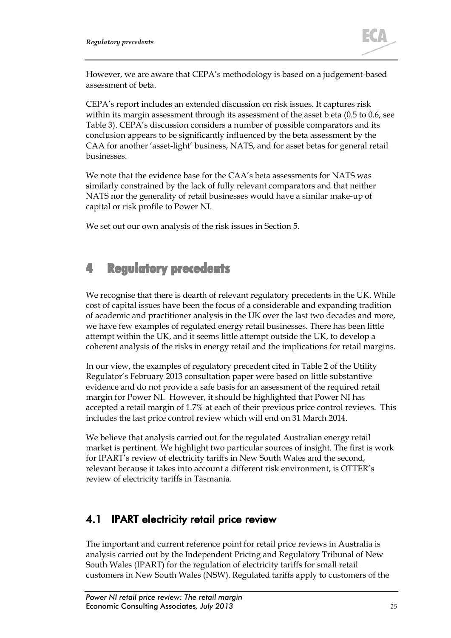

However, we are aware that CEPA's methodology is based on a judgement-based assessment of beta.

CEPA's report includes an extended discussion on risk issues. It captures risk within its margin assessment through its assessment of the asset b eta (0.5 to 0.6, see [Table 3\)](#page-8-0). CEPA's discussion considers a number of possible comparators and its conclusion appears to be significantly influenced by the beta assessment by the CAA for another 'asset-light' business, NATS, and for asset betas for general retail businesses.

We note that the evidence base for the CAA's beta assessments for NATS was similarly constrained by the lack of fully relevant comparators and that neither NATS nor the generality of retail businesses would have a similar make-up of capital or risk profile to Power NI.

We set out our own analysis of the risk issues in Section [5.](#page-23-0)

# <span id="page-17-0"></span>4 Regulatory precedents

We recognise that there is dearth of relevant regulatory precedents in the UK. While cost of capital issues have been the focus of a considerable and expanding tradition of academic and practitioner analysis in the UK over the last two decades and more, we have few examples of regulated energy retail businesses. There has been little attempt within the UK, and it seems little attempt outside the UK, to develop a coherent analysis of the risks in energy retail and the implications for retail margins.

In our view, the examples of regulatory precedent cited in Table 2 of the Utility Regulator's February 2013 consultation paper were based on little substantive evidence and do not provide a safe basis for an assessment of the required retail margin for Power NI. However, it should be highlighted that Power NI has accepted a retail margin of 1.7% at each of their previous price control reviews. This includes the last price control review which will end on 31 March 2014.

We believe that analysis carried out for the regulated Australian energy retail market is pertinent. We highlight two particular sources of insight. The first is work for IPART's review of electricity tariffs in New South Wales and the second, relevant because it takes into account a different risk environment, is OTTER's review of electricity tariffs in Tasmania.

### <span id="page-17-1"></span>4.1 IPART electricity retail price review

The important and current reference point for retail price reviews in Australia is analysis carried out by the Independent Pricing and Regulatory Tribunal of New South Wales (IPART) for the regulation of electricity tariffs for small retail customers in New South Wales (NSW). Regulated tariffs apply to customers of the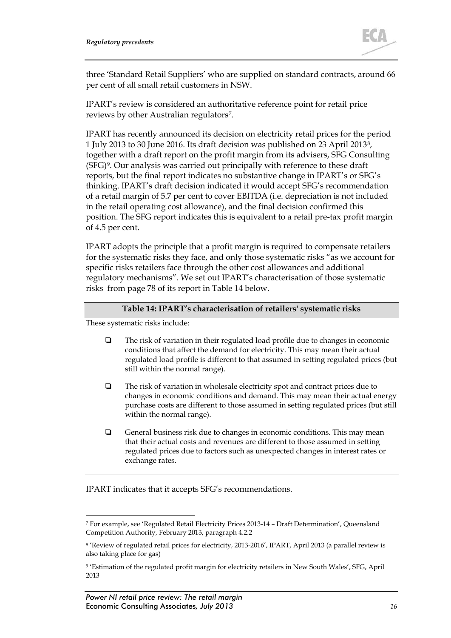

three 'Standard Retail Suppliers' who are supplied on standard contracts, around 66 per cent of all small retail customers in NSW.

IPART's review is considered an authoritative reference point for retail price reviews by other Australian regulators[7.](#page-18-1)

IPART has recently announced its decision on electricity retail prices for the period 1 July 2013 to 30 June 2016. Its draft decision was published on 23 April 2013[8,](#page-18-2) together with a draft report on the profit margin from its advisers, SFG Consulting (SFG[\)9.](#page-18-3) Our analysis was carried out principally with reference to these draft reports, but the final report indicates no substantive change in IPART's or SFG's thinking. IPART's draft decision indicated it would accept SFG's recommendation of a retail margin of 5.7 per cent to cover EBITDA (i.e. depreciation is not included in the retail operating cost allowance), and the final decision confirmed this position. The SFG report indicates this is equivalent to a retail pre-tax profit margin of 4.5 per cent.

IPART adopts the principle that a profit margin is required to compensate retailers for the systematic risks they face, and only those systematic risks "as we account for specific risks retailers face through the other cost allowances and additional regulatory mechanisms". We set out IPART's characterisation of those systematic risks from page 78 of its report in [Table 14](#page-18-0) below.

#### **Table 14: IPART's characterisation of retailers' systematic risks**

<span id="page-18-0"></span>These systematic risks include:

- The risk of variation in their regulated load profile due to changes in economic conditions that affect the demand for electricity. This may mean their actual regulated load profile is different to that assumed in setting regulated prices (but still within the normal range).
- $\Box$  The risk of variation in wholesale electricity spot and contract prices due to changes in economic conditions and demand. This may mean their actual energy purchase costs are different to those assumed in setting regulated prices (but still within the normal range).
- General business risk due to changes in economic conditions. This may mean that their actual costs and revenues are different to those assumed in setting regulated prices due to factors such as unexpected changes in interest rates or exchange rates.

IPART indicates that it accepts SFG's recommendations.

<span id="page-18-1"></span> <sup>7</sup> For example, see 'Regulated Retail Electricity Prices 2013-14 – Draft Determination', Queensland Competition Authority, February 2013, paragraph 4.2.2

<span id="page-18-2"></span><sup>8</sup> 'Review of regulated retail prices for electricity, 2013-2016', IPART, April 2013 (a parallel review is also taking place for gas)

<span id="page-18-3"></span><sup>9</sup> 'Estimation of the regulated profit margin for electricity retailers in New South Wales', SFG, April 2013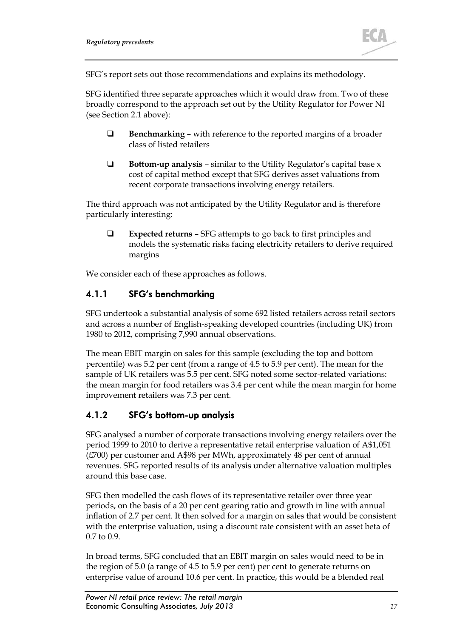

SFG's report sets out those recommendations and explains its methodology.

SFG identified three separate approaches which it would draw from. Two of these broadly correspond to the approach set out by the Utility Regulator for Power NI (see Section [2.1](#page-5-1) above):

- **Benchmarking** with reference to the reported margins of a broader class of listed retailers
- **Bottom-up analysis** similar to the Utility Regulator's capital base x cost of capital method except that SFG derives asset valuations from recent corporate transactions involving energy retailers.

The third approach was not anticipated by the Utility Regulator and is therefore particularly interesting:

 **Expected returns** – SFG attempts to go back to first principles and models the systematic risks facing electricity retailers to derive required margins

We consider each of these approaches as follows.

### 4.1.1 SFG's benchmarking

SFG undertook a substantial analysis of some 692 listed retailers across retail sectors and across a number of English-speaking developed countries (including UK) from 1980 to 2012, comprising 7,990 annual observations.

The mean EBIT margin on sales for this sample (excluding the top and bottom percentile) was 5.2 per cent (from a range of 4.5 to 5.9 per cent). The mean for the sample of UK retailers was 5.5 per cent. SFG noted some sector-related variations: the mean margin for food retailers was 3.4 per cent while the mean margin for home improvement retailers was 7.3 per cent.

### 4.1.2 SFG's bottom-up analysis

SFG analysed a number of corporate transactions involving energy retailers over the period 1999 to 2010 to derive a representative retail enterprise valuation of A\$1,051 (£700) per customer and A\$98 per MWh, approximately 48 per cent of annual revenues. SFG reported results of its analysis under alternative valuation multiples around this base case.

SFG then modelled the cash flows of its representative retailer over three year periods, on the basis of a 20 per cent gearing ratio and growth in line with annual inflation of 2.7 per cent. It then solved for a margin on sales that would be consistent with the enterprise valuation, using a discount rate consistent with an asset beta of 0.7 to 0.9.

In broad terms, SFG concluded that an EBIT margin on sales would need to be in the region of 5.0 (a range of 4.5 to 5.9 per cent) per cent to generate returns on enterprise value of around 10.6 per cent. In practice, this would be a blended real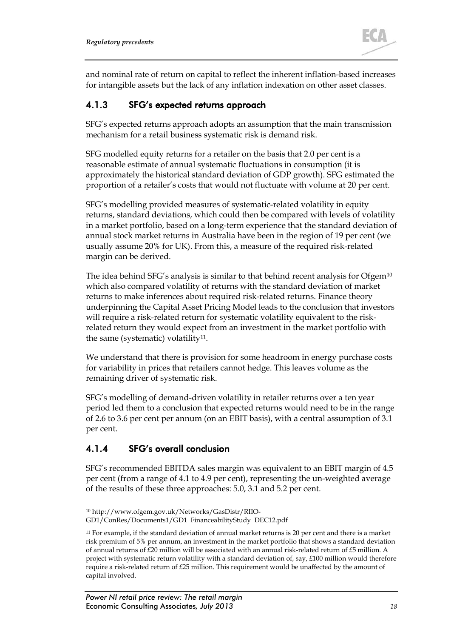

and nominal rate of return on capital to reflect the inherent inflation-based increases for intangible assets but the lack of any inflation indexation on other asset classes.

#### <span id="page-20-2"></span>4.1.3 SFG's expected returns approach

SFG's expected returns approach adopts an assumption that the main transmission mechanism for a retail business systematic risk is demand risk.

SFG modelled equity returns for a retailer on the basis that 2.0 per cent is a reasonable estimate of annual systematic fluctuations in consumption (it is approximately the historical standard deviation of GDP growth). SFG estimated the proportion of a retailer's costs that would not fluctuate with volume at 20 per cent.

SFG's modelling provided measures of systematic-related volatility in equity returns, standard deviations, which could then be compared with levels of volatility in a market portfolio, based on a long-term experience that the standard deviation of annual stock market returns in Australia have been in the region of 19 per cent (we usually assume 20% for UK). From this, a measure of the required risk-related margin can be derived.

The idea behind SFG's analysis is similar to that behind recent analysis for Ofgem<sup>[10](#page-20-0)</sup> which also compared volatility of returns with the standard deviation of market returns to make inferences about required risk-related returns. Finance theory underpinning the Capital Asset Pricing Model leads to the conclusion that investors will require a risk-related return for systematic volatility equivalent to the riskrelated return they would expect from an investment in the market portfolio with the same (systematic) volatility<sup>11</sup>.

We understand that there is provision for some headroom in energy purchase costs for variability in prices that retailers cannot hedge. This leaves volume as the remaining driver of systematic risk.

SFG's modelling of demand-driven volatility in retailer returns over a ten year period led them to a conclusion that expected returns would need to be in the range of 2.6 to 3.6 per cent per annum (on an EBIT basis), with a central assumption of 3.1 per cent.

### 4.1.4 SFG's overall conclusion

SFG's recommended EBITDA sales margin was equivalent to an EBIT margin of 4.5 per cent (from a range of 4.1 to 4.9 per cent), representing the un-weighted average of the results of these three approaches: 5.0, 3.1 and 5.2 per cent.

 <sup>10</sup> http://www.ofgem.gov.uk/Networks/GasDistr/RIIO-

<span id="page-20-0"></span>GD1/ConRes/Documents1/GD1\_FinanceabilityStudy\_DEC12.pdf

<span id="page-20-1"></span><sup>11</sup> For example, if the standard deviation of annual market returns is 20 per cent and there is a market risk premium of 5% per annum, an investment in the market portfolio that shows a standard deviation of annual returns of £20 million will be associated with an annual risk-related return of £5 million. A project with systematic return volatility with a standard deviation of, say, £100 million would therefore require a risk-related return of £25 million. This requirement would be unaffected by the amount of capital involved.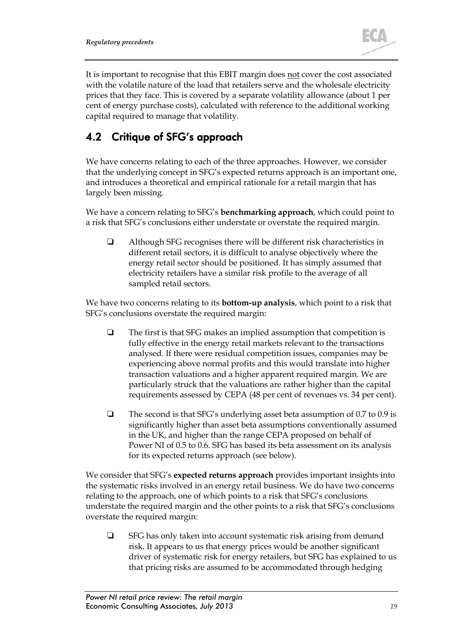

It is important to recognise that this EBIT margin does not cover the cost associated with the volatile nature of the load that retailers serve and the wholesale electricity prices that they face. This is covered by a separate volatility allowance (about 1 per cent of energy purchase costs), calculated with reference to the additional working capital required to manage that volatility.

# <span id="page-21-0"></span>4.2 Critique of SFG's approach

We have concerns relating to each of the three approaches. However, we consider that the underlying concept in SFG's expected returns approach is an important one, and introduces a theoretical and empirical rationale for a retail margin that has largely been missing.

We have a concern relating to SFG's **benchmarking approach**, which could point to a risk that SFG's conclusions either understate or overstate the required margin.

 Although SFG recognises there will be different risk characteristics in different retail sectors, it is difficult to analyse objectively where the energy retail sector should be positioned. It has simply assumed that electricity retailers have a similar risk profile to the average of all sampled retail sectors.

We have two concerns relating to its **bottom-up analysis**, which point to a risk that SFG's conclusions overstate the required margin:

- $\Box$  The first is that SFG makes an implied assumption that competition is fully effective in the energy retail markets relevant to the transactions analysed. If there were residual competition issues, companies may be experiencing above normal profits and this would translate into higher transaction valuations and a higher apparent required margin. We are particularly struck that the valuations are rather higher than the capital requirements assessed by CEPA (48 per cent of revenues vs. 34 per cent).
- $\Box$  The second is that SFG's underlying asset beta assumption of 0.7 to 0.9 is significantly higher than asset beta assumptions conventionally assumed in the UK, and higher than the range CEPA proposed on behalf of Power NI of 0.5 to 0.6. SFG has based its beta assessment on its analysis for its expected returns approach (see below).

We consider that SFG's **expected returns approach** provides important insights into the systematic risks involved in an energy retail business. We do have two concerns relating to the approach, one of which points to a risk that SFG's conclusions understate the required margin and the other points to a risk that SFG's conclusions overstate the required margin:

 $\Box$  SFG has only taken into account systematic risk arising from demand risk. It appears to us that energy prices would be another significant driver of systematic risk for energy retailers, but SFG has explained to us that pricing risks are assumed to be accommodated through hedging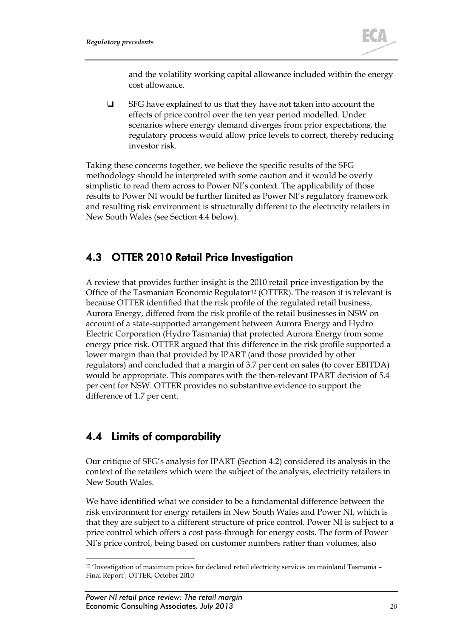

and the volatility working capital allowance included within the energy cost allowance.

 $\Box$  SFG have explained to us that they have not taken into account the effects of price control over the ten year period modelled. Under scenarios where energy demand diverges from prior expectations, the regulatory process would allow price levels to correct, thereby reducing investor risk.

Taking these concerns together, we believe the specific results of the SFG methodology should be interpreted with some caution and it would be overly simplistic to read them across to Power NI's context. The applicability of those results to Power NI would be further limited as Power NI's regulatory framework and resulting risk environment is structurally different to the electricity retailers in New South Wales (see Section [4.4](#page-22-0) below).

### 4.3 OTTER 2010 Retail Price Investigation

A review that provides further insight is the 2010 retail price investigation by the Office of the Tasmanian Economic Regulator<sup>[12](#page-22-1)</sup> (OTTER). The reason it is relevant is because OTTER identified that the risk profile of the regulated retail business, Aurora Energy, differed from the risk profile of the retail businesses in NSW on account of a state-supported arrangement between Aurora Energy and Hydro Electric Corporation (Hydro Tasmania) that protected Aurora Energy from some energy price risk. OTTER argued that this difference in the risk profile supported a lower margin than that provided by IPART (and those provided by other regulators) and concluded that a margin of 3.7 per cent on sales (to cover EBITDA) would be appropriate. This compares with the then-relevant IPART decision of 5.4 per cent for NSW. OTTER provides no substantive evidence to support the difference of 1.7 per cent.

### <span id="page-22-0"></span>4.4 Limits of comparability

Our critique of SFG's analysis for IPART (Section [4.2\)](#page-21-0) considered its analysis in the context of the retailers which were the subject of the analysis, electricity retailers in New South Wales.

We have identified what we consider to be a fundamental difference between the risk environment for energy retailers in New South Wales and Power NI, which is that they are subject to a different structure of price control. Power NI is subject to a price control which offers a cost pass-through for energy costs. The form of Power NI's price control, being based on customer numbers rather than volumes, also

<span id="page-22-1"></span> <sup>12</sup> 'Investigation of maximum prices for declared retail electricity services on mainland Tasmania – Final Report', OTTER, October 2010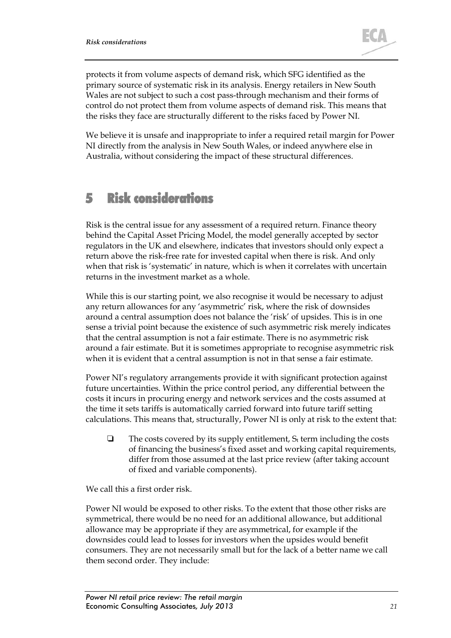

protects it from volume aspects of demand risk, which SFG identified as the primary source of systematic risk in its analysis. Energy retailers in New South Wales are not subject to such a cost pass-through mechanism and their forms of control do not protect them from volume aspects of demand risk. This means that the risks they face are structurally different to the risks faced by Power NI.

We believe it is unsafe and inappropriate to infer a required retail margin for Power NI directly from the analysis in New South Wales, or indeed anywhere else in Australia, without considering the impact of these structural differences.

# <span id="page-23-0"></span>5 Risk considerations

Risk is the central issue for any assessment of a required return. Finance theory behind the Capital Asset Pricing Model, the model generally accepted by sector regulators in the UK and elsewhere, indicates that investors should only expect a return above the risk-free rate for invested capital when there is risk. And only when that risk is 'systematic' in nature, which is when it correlates with uncertain returns in the investment market as a whole.

While this is our starting point, we also recognise it would be necessary to adjust any return allowances for any 'asymmetric' risk, where the risk of downsides around a central assumption does not balance the 'risk' of upsides. This is in one sense a trivial point because the existence of such asymmetric risk merely indicates that the central assumption is not a fair estimate. There is no asymmetric risk around a fair estimate. But it is sometimes appropriate to recognise asymmetric risk when it is evident that a central assumption is not in that sense a fair estimate.

Power NI's regulatory arrangements provide it with significant protection against future uncertainties. Within the price control period, any differential between the costs it incurs in procuring energy and network services and the costs assumed at the time it sets tariffs is automatically carried forward into future tariff setting calculations. This means that, structurally, Power NI is only at risk to the extent that:

 $\Box$  The costs covered by its supply entitlement,  $S_t$  term including the costs of financing the business's fixed asset and working capital requirements, differ from those assumed at the last price review (after taking account of fixed and variable components).

We call this a first order risk.

Power NI would be exposed to other risks. To the extent that those other risks are symmetrical, there would be no need for an additional allowance, but additional allowance may be appropriate if they are asymmetrical, for example if the downsides could lead to losses for investors when the upsides would benefit consumers. They are not necessarily small but for the lack of a better name we call them second order. They include: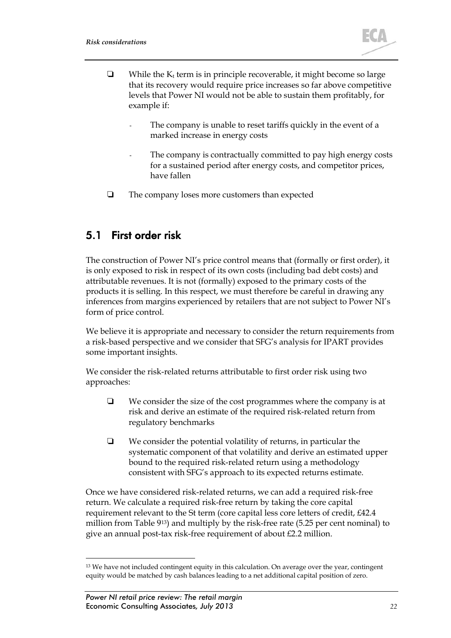

- $\Box$  While the K<sub>t</sub> term is in principle recoverable, it might become so large that its recovery would require price increases so far above competitive levels that Power NI would not be able to sustain them profitably, for example if:
	- The company is unable to reset tariffs quickly in the event of a marked increase in energy costs
	- The company is contractually committed to pay high energy costs for a sustained period after energy costs, and competitor prices, have fallen
- □ The company loses more customers than expected

### <span id="page-24-1"></span>5.1 First order risk

The construction of Power NI's price control means that (formally or first order), it is only exposed to risk in respect of its own costs (including bad debt costs) and attributable revenues. It is not (formally) exposed to the primary costs of the products it is selling. In this respect, we must therefore be careful in drawing any inferences from margins experienced by retailers that are not subject to Power NI's form of price control.

We believe it is appropriate and necessary to consider the return requirements from a risk-based perspective and we consider that SFG's analysis for IPART provides some important insights.

We consider the risk-related returns attributable to first order risk using two approaches:

- $\Box$  We consider the size of the cost programmes where the company is at risk and derive an estimate of the required risk-related return from regulatory benchmarks
- $\Box$  We consider the potential volatility of returns, in particular the systematic component of that volatility and derive an estimated upper bound to the required risk-related return using a methodology consistent with SFG's approach to its expected returns estimate.

Once we have considered risk-related returns, we can add a required risk-free return. We calculate a required risk-free return by taking the core capital requirement relevant to the St term (core capital less core letters of credit, £42.4 million from [Table 9](#page-13-0)[13](#page-24-0)) and multiply by the risk-free rate (5.25 per cent nominal) to give an annual post-tax risk-free requirement of about £2.2 million.

<span id="page-24-0"></span><sup>&</sup>lt;sup>13</sup> We have not included contingent equity in this calculation. On average over the year, contingent equity would be matched by cash balances leading to a net additional capital position of zero.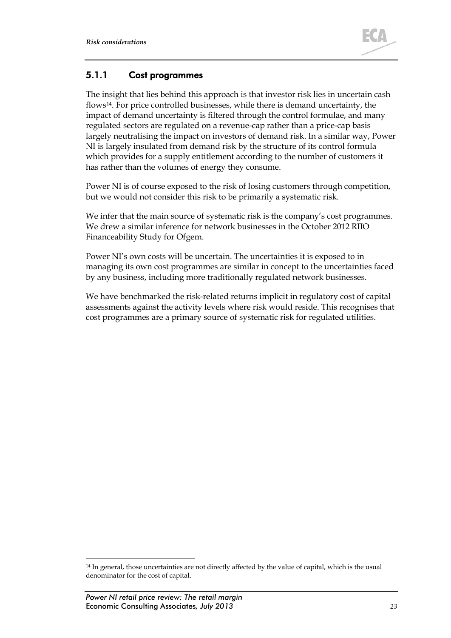

### <span id="page-25-1"></span>5.1.1 Cost programmes

The insight that lies behind this approach is that investor risk lies in uncertain cash flows[14.](#page-25-0) For price controlled businesses, while there is demand uncertainty, the impact of demand uncertainty is filtered through the control formulae, and many regulated sectors are regulated on a revenue-cap rather than a price-cap basis largely neutralising the impact on investors of demand risk. In a similar way, Power NI is largely insulated from demand risk by the structure of its control formula which provides for a supply entitlement according to the number of customers it has rather than the volumes of energy they consume.

Power NI is of course exposed to the risk of losing customers through competition, but we would not consider this risk to be primarily a systematic risk.

We infer that the main source of systematic risk is the company's cost programmes. We drew a similar inference for network businesses in the October 2012 RIIO Financeability Study for Ofgem.

Power NI's own costs will be uncertain. The uncertainties it is exposed to in managing its own cost programmes are similar in concept to the uncertainties faced by any business, including more traditionally regulated network businesses.

We have benchmarked the risk-related returns implicit in regulatory cost of capital assessments against the activity levels where risk would reside. This recognises that cost programmes are a primary source of systematic risk for regulated utilities.

<span id="page-25-0"></span> <sup>14</sup> In general, those uncertainties are not directly affected by the value of capital, which is the usual denominator for the cost of capital.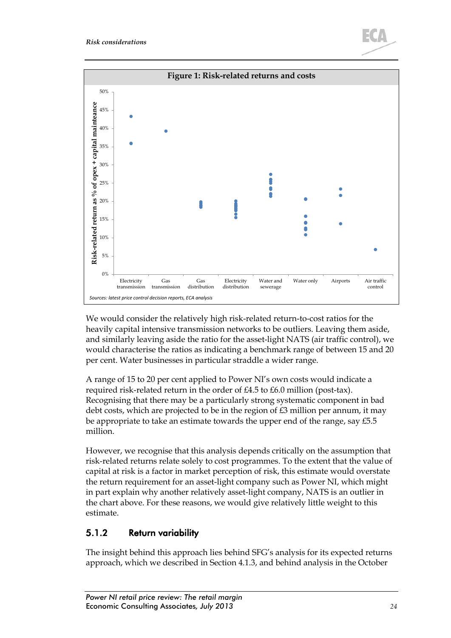

We would consider the relatively high risk-related return-to-cost ratios for the heavily capital intensive transmission networks to be outliers. Leaving them aside, and similarly leaving aside the ratio for the asset-light NATS (air traffic control), we would characterise the ratios as indicating a benchmark range of between 15 and 20 per cent. Water businesses in particular straddle a wider range.

A range of 15 to 20 per cent applied to Power NI's own costs would indicate a required risk-related return in the order of £4.5 to £6.0 million (post-tax). Recognising that there may be a particularly strong systematic component in bad debt costs, which are projected to be in the region of £3 million per annum, it may be appropriate to take an estimate towards the upper end of the range, say £5.5 million.

However, we recognise that this analysis depends critically on the assumption that risk-related returns relate solely to cost programmes. To the extent that the value of capital at risk is a factor in market perception of risk, this estimate would overstate the return requirement for an asset-light company such as Power NI, which might in part explain why another relatively asset-light company, NATS is an outlier in the chart above. For these reasons, we would give relatively little weight to this estimate.

### <span id="page-26-0"></span>5.1.2 Return variability

The insight behind this approach lies behind SFG's analysis for its expected returns approach, which we described in Section [4.1.3,](#page-20-2) and behind analysis in the October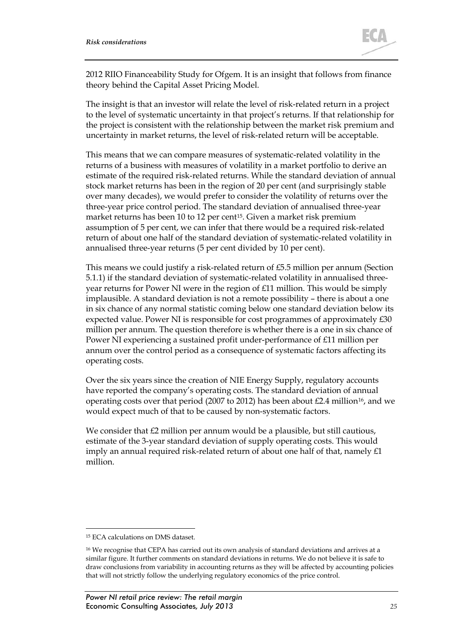2012 RIIO Financeability Study for Ofgem. It is an insight that follows from finance theory behind the Capital Asset Pricing Model.

The insight is that an investor will relate the level of risk-related return in a project to the level of systematic uncertainty in that project's returns. If that relationship for the project is consistent with the relationship between the market risk premium and uncertainty in market returns, the level of risk-related return will be acceptable.

This means that we can compare measures of systematic-related volatility in the returns of a business with measures of volatility in a market portfolio to derive an estimate of the required risk-related returns. While the standard deviation of annual stock market returns has been in the region of 20 per cent (and surprisingly stable over many decades), we would prefer to consider the volatility of returns over the three-year price control period. The standard deviation of annualised three-year market returns has been 10 to 12 per cent<sup>[15](#page-27-0)</sup>. Given a market risk premium assumption of 5 per cent, we can infer that there would be a required risk-related return of about one half of the standard deviation of systematic-related volatility in annualised three-year returns (5 per cent divided by 10 per cent).

This means we could justify a risk-related return of  $£5.5$  million per annum (Section [5.1.1\)](#page-25-1) if the standard deviation of systematic-related volatility in annualised threeyear returns for Power NI were in the region of £11 million. This would be simply implausible. A standard deviation is not a remote possibility – there is about a one in six chance of any normal statistic coming below one standard deviation below its expected value. Power NI is responsible for cost programmes of approximately £30 million per annum. The question therefore is whether there is a one in six chance of Power NI experiencing a sustained profit under-performance of £11 million per annum over the control period as a consequence of systematic factors affecting its operating costs.

Over the six years since the creation of NIE Energy Supply, regulatory accounts have reported the company's operating costs. The standard deviation of annual operating costs over that period (2007 to 2012) has been about £2.4 million<sup>[16](#page-27-1)</sup>, and we would expect much of that to be caused by non-systematic factors.

We consider that £2 million per annum would be a plausible, but still cautious, estimate of the 3-year standard deviation of supply operating costs. This would imply an annual required risk-related return of about one half of that, namely £1 million.

<span id="page-27-0"></span> <sup>15</sup> ECA calculations on DMS dataset.

<span id="page-27-1"></span><sup>16</sup> We recognise that CEPA has carried out its own analysis of standard deviations and arrives at a similar figure. It further comments on standard deviations in returns. We do not believe it is safe to draw conclusions from variability in accounting returns as they will be affected by accounting policies that will not strictly follow the underlying regulatory economics of the price control.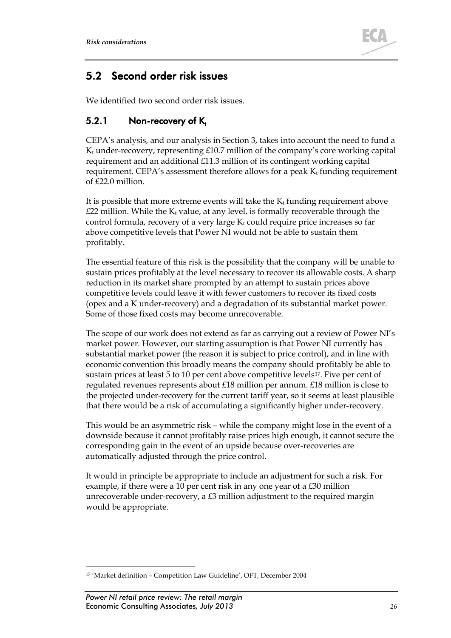

### <span id="page-28-2"></span>5.2 Second order risk issues

We identified two second order risk issues.

### <span id="page-28-1"></span>5.2.1 Non-recovery of  $K_t$

CEPA's analysis, and our analysis in Section [3,](#page-6-0) takes into account the need to fund a  $K_t$  under-recovery, representing £10.7 million of the company's core working capital requirement and an additional £11.3 million of its contingent working capital requirement. CEPA's assessment therefore allows for a peak  $K_t$  funding requirement of £22.0 million.

It is possible that more extreme events will take the  $K_t$  funding requirement above  $£22$  million. While the  $K_t$  value, at any level, is formally recoverable through the control formula, recovery of a very large  $K_t$  could require price increases so far above competitive levels that Power NI would not be able to sustain them profitably.

The essential feature of this risk is the possibility that the company will be unable to sustain prices profitably at the level necessary to recover its allowable costs. A sharp reduction in its market share prompted by an attempt to sustain prices above competitive levels could leave it with fewer customers to recover its fixed costs (opex and a K under-recovery) and a degradation of its substantial market power. Some of those fixed costs may become unrecoverable.

The scope of our work does not extend as far as carrying out a review of Power NI's market power. However, our starting assumption is that Power NI currently has substantial market power (the reason it is subject to price control), and in line with economic convention this broadly means the company should profitably be able to sustain prices at least 5 to 10 per cent above competitive levels<sup>17</sup>. Five per cent of regulated revenues represents about £18 million per annum. £18 million is close to the projected under-recovery for the current tariff year, so it seems at least plausible that there would be a risk of accumulating a significantly higher under-recovery.

This would be an asymmetric risk – while the company might lose in the event of a downside because it cannot profitably raise prices high enough, it cannot secure the corresponding gain in the event of an upside because over-recoveries are automatically adjusted through the price control.

It would in principle be appropriate to include an adjustment for such a risk. For example, if there were a 10 per cent risk in any one year of a £30 million unrecoverable under-recovery, a £3 million adjustment to the required margin would be appropriate.

<span id="page-28-0"></span> <sup>17</sup> 'Market definition – Competition Law Guideline', OFT, December 2004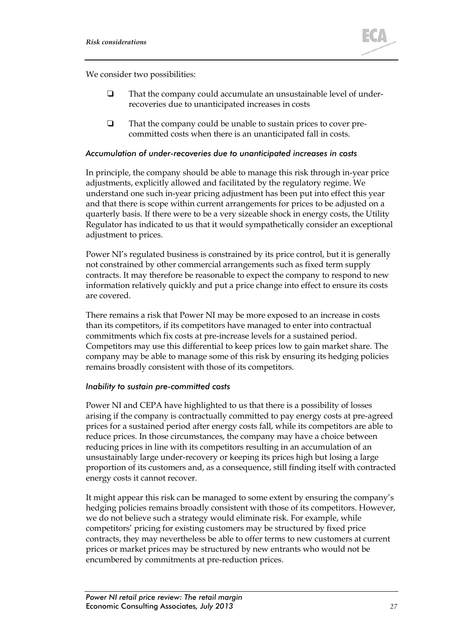

We consider two possibilities:

- That the company could accumulate an unsustainable level of underrecoveries due to unanticipated increases in costs
- $\Box$  That the company could be unable to sustain prices to cover precommitted costs when there is an unanticipated fall in costs.

#### *Accumulation of under-recoveries due to unanticipated increases in costs*

In principle, the company should be able to manage this risk through in-year price adjustments, explicitly allowed and facilitated by the regulatory regime. We understand one such in-year pricing adjustment has been put into effect this year and that there is scope within current arrangements for prices to be adjusted on a quarterly basis. If there were to be a very sizeable shock in energy costs, the Utility Regulator has indicated to us that it would sympathetically consider an exceptional adjustment to prices.

Power NI's regulated business is constrained by its price control, but it is generally not constrained by other commercial arrangements such as fixed term supply contracts. It may therefore be reasonable to expect the company to respond to new information relatively quickly and put a price change into effect to ensure its costs are covered.

There remains a risk that Power NI may be more exposed to an increase in costs than its competitors, if its competitors have managed to enter into contractual commitments which fix costs at pre-increase levels for a sustained period. Competitors may use this differential to keep prices low to gain market share. The company may be able to manage some of this risk by ensuring its hedging policies remains broadly consistent with those of its competitors.

#### *Inability to sustain pre-committed costs*

Power NI and CEPA have highlighted to us that there is a possibility of losses arising if the company is contractually committed to pay energy costs at pre-agreed prices for a sustained period after energy costs fall, while its competitors are able to reduce prices. In those circumstances, the company may have a choice between reducing prices in line with its competitors resulting in an accumulation of an unsustainably large under-recovery or keeping its prices high but losing a large proportion of its customers and, as a consequence, still finding itself with contracted energy costs it cannot recover.

It might appear this risk can be managed to some extent by ensuring the company's hedging policies remains broadly consistent with those of its competitors. However, we do not believe such a strategy would eliminate risk. For example, while competitors' pricing for existing customers may be structured by fixed price contracts, they may nevertheless be able to offer terms to new customers at current prices or market prices may be structured by new entrants who would not be encumbered by commitments at pre-reduction prices.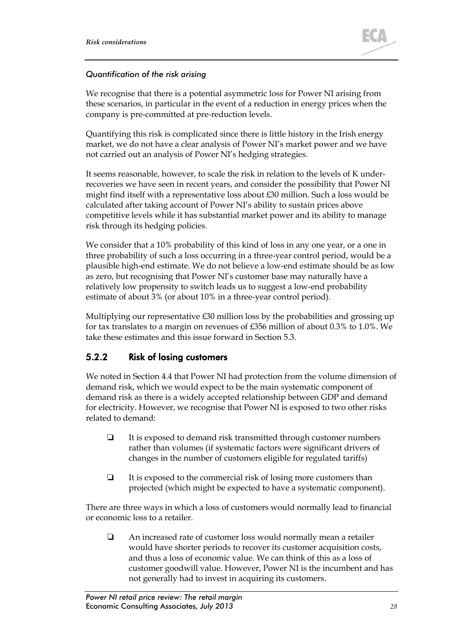

#### *Quantification of the risk arising*

We recognise that there is a potential asymmetric loss for Power NI arising from these scenarios, in particular in the event of a reduction in energy prices when the company is pre-committed at pre-reduction levels.

Quantifying this risk is complicated since there is little history in the Irish energy market, we do not have a clear analysis of Power NI's market power and we have not carried out an analysis of Power NI's hedging strategies.

It seems reasonable, however, to scale the risk in relation to the levels of K underrecoveries we have seen in recent years, and consider the possibility that Power NI might find itself with a representative loss about £30 million. Such a loss would be calculated after taking account of Power NI's ability to sustain prices above competitive levels while it has substantial market power and its ability to manage risk through its hedging policies.

We consider that a 10% probability of this kind of loss in any one year, or a one in three probability of such a loss occurring in a three-year control period, would be a plausible high-end estimate. We do not believe a low-end estimate should be as low as zero, but recognising that Power NI's customer base may naturally have a relatively low propensity to switch leads us to suggest a low-end probability estimate of about 3% (or about 10% in a three-year control period).

Multiplying our representative £30 million loss by the probabilities and grossing up for tax translates to a margin on revenues of £356 million of about 0.3% to 1.0%. We take these estimates and this issue forward in Section [5.3.](#page-31-0)

#### 5.2.2 Risk of losing customers

We noted in Section [4.4](#page-22-0) that Power NI had protection from the volume dimension of demand risk, which we would expect to be the main systematic component of demand risk as there is a widely accepted relationship between GDP and demand for electricity. However, we recognise that Power NI is exposed to two other risks related to demand:

- $\Box$  It is exposed to demand risk transmitted through customer numbers rather than volumes (if systematic factors were significant drivers of changes in the number of customers eligible for regulated tariffs)
- $\Box$  It is exposed to the commercial risk of losing more customers than projected (which might be expected to have a systematic component).

There are three ways in which a loss of customers would normally lead to financial or economic loss to a retailer.

 An increased rate of customer loss would normally mean a retailer would have shorter periods to recover its customer acquisition costs, and thus a loss of economic value. We can think of this as a loss of customer goodwill value. However, Power NI is the incumbent and has not generally had to invest in acquiring its customers.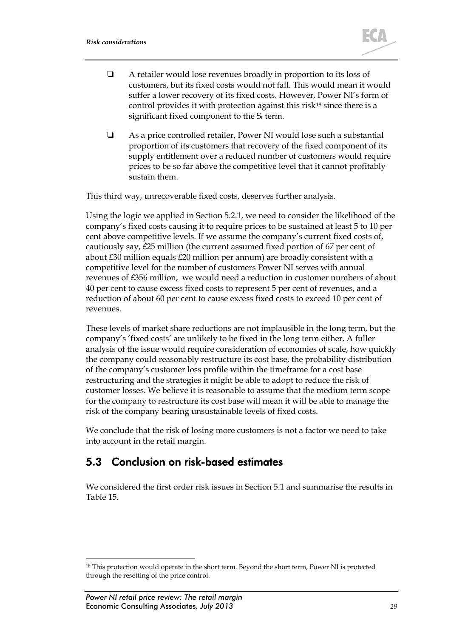

- $\Box$  A retailer would lose revenues broadly in proportion to its loss of customers, but its fixed costs would not fall. This would mean it would suffer a lower recovery of its fixed costs. However, Power NI's form of control provides it with protection against this risk<sup>[18](#page-31-1)</sup> since there is a significant fixed component to the  $S_t$  term.
- As a price controlled retailer, Power NI would lose such a substantial proportion of its customers that recovery of the fixed component of its supply entitlement over a reduced number of customers would require prices to be so far above the competitive level that it cannot profitably sustain them.

This third way, unrecoverable fixed costs, deserves further analysis.

Using the logic we applied in Section [5.2.1,](#page-28-1) we need to consider the likelihood of the company's fixed costs causing it to require prices to be sustained at least 5 to 10 per cent above competitive levels. If we assume the company's current fixed costs of, cautiously say, £25 million (the current assumed fixed portion of 67 per cent of about £30 million equals £20 million per annum) are broadly consistent with a competitive level for the number of customers Power NI serves with annual revenues of £356 million, we would need a reduction in customer numbers of about 40 per cent to cause excess fixed costs to represent 5 per cent of revenues, and a reduction of about 60 per cent to cause excess fixed costs to exceed 10 per cent of revenues.

These levels of market share reductions are not implausible in the long term, but the company's 'fixed costs' are unlikely to be fixed in the long term either. A fuller analysis of the issue would require consideration of economies of scale, how quickly the company could reasonably restructure its cost base, the probability distribution of the company's customer loss profile within the timeframe for a cost base restructuring and the strategies it might be able to adopt to reduce the risk of customer losses. We believe it is reasonable to assume that the medium term scope for the company to restructure its cost base will mean it will be able to manage the risk of the company bearing unsustainable levels of fixed costs.

We conclude that the risk of losing more customers is not a factor we need to take into account in the retail margin.

### <span id="page-31-0"></span>5.3 Conclusion on risk-based estimates

We considered the first order risk issues in Section [5.1](#page-24-1) and summarise the results in [Table 15.](#page-32-1)

<span id="page-31-1"></span><sup>&</sup>lt;sup>18</sup> This protection would operate in the short term. Beyond the short term, Power NI is protected through the resetting of the price control.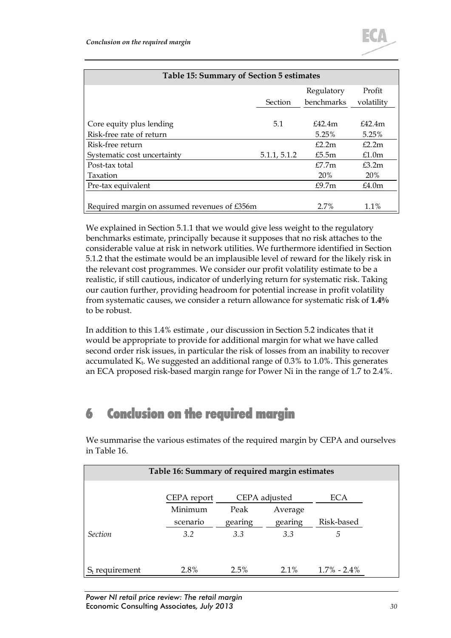<span id="page-32-1"></span>

| Table 15: Summary of Section 5 estimates     |                |            |            |  |
|----------------------------------------------|----------------|------------|------------|--|
|                                              |                | Regulatory | Profit     |  |
|                                              | <b>Section</b> | benchmarks | volatility |  |
|                                              |                |            |            |  |
| Core equity plus lending                     | 5.1            | £42.4m     | £42.4m     |  |
| Risk-free rate of return                     |                | 5.25%      | 5.25%      |  |
| Risk-free return                             |                | £2.2m      | f2.2m      |  |
| Systematic cost uncertainty                  | 5.1.1, 5.1.2   | £5.5m      | £1.0m      |  |
| Post-tax total                               |                | E7.7m      | £3.2m      |  |
| <b>Taxation</b>                              |                | <b>20%</b> | <b>20%</b> |  |
| Pre-tax equivalent                           |                | £9.7m      | £4.0m      |  |
|                                              |                |            |            |  |
| Required margin on assumed revenues of £356m |                | 2.7%       | $1.1\%$    |  |

We explained in Section [5.1.1](#page-25-1) that we would give less weight to the regulatory benchmarks estimate, principally because it supposes that no risk attaches to the considerable value at risk in network utilities. We furthermore identified in Section [5.1.2](#page-26-0) that the estimate would be an implausible level of reward for the likely risk in the relevant cost programmes. We consider our profit volatility estimate to be a realistic, if still cautious, indicator of underlying return for systematic risk. Taking our caution further, providing headroom for potential increase in profit volatility from systematic causes, we consider a return allowance for systematic risk of **1.4%** to be robust.

In addition to this 1.4% estimate , our discussion in Section [5.2](#page-28-2) indicates that it would be appropriate to provide for additional margin for what we have called second order risk issues, in particular the risk of losses from an inability to recover accumulated  $K_t$ . We suggested an additional range of 0.3% to 1.0%. This generates an ECA proposed risk-based margin range for Power Ni in the range of 1.7 to 2.4%.

# 6 Conclusion on the required margin

We summarise the various estimates of the required margin by CEPA and ourselves in [Table 16.](#page-32-0)

<span id="page-32-0"></span>

| Table 16: Summary of required margin estimates |             |               |         |                 |
|------------------------------------------------|-------------|---------------|---------|-----------------|
|                                                | CEPA report | CEPA adjusted |         | ECA             |
|                                                | Minimum     | Peak          | Average |                 |
|                                                | scenario    | gearing       | gearing | Risk-based      |
| <b>Section</b>                                 | 3.2         | 3.3           | 3.3     | .5              |
|                                                |             |               |         |                 |
|                                                |             |               |         |                 |
| $S_t$ requirement                              | 2.8%        | 2.5%          | $2.1\%$ | $1.7\% - 2.4\%$ |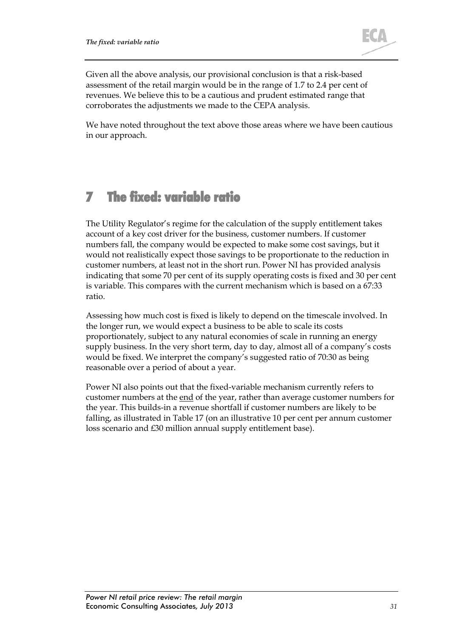

Given all the above analysis, our provisional conclusion is that a risk-based assessment of the retail margin would be in the range of 1.7 to 2.4 per cent of revenues. We believe this to be a cautious and prudent estimated range that corroborates the adjustments we made to the CEPA analysis.

We have noted throughout the text above those areas where we have been cautious in our approach.

# 7 The fixed: variable ratio

The Utility Regulator's regime for the calculation of the supply entitlement takes account of a key cost driver for the business, customer numbers. If customer numbers fall, the company would be expected to make some cost savings, but it would not realistically expect those savings to be proportionate to the reduction in customer numbers, at least not in the short run. Power NI has provided analysis indicating that some 70 per cent of its supply operating costs is fixed and 30 per cent is variable. This compares with the current mechanism which is based on a 67:33 ratio.

Assessing how much cost is fixed is likely to depend on the timescale involved. In the longer run, we would expect a business to be able to scale its costs proportionately, subject to any natural economies of scale in running an energy supply business. In the very short term, day to day, almost all of a company's costs would be fixed. We interpret the company's suggested ratio of 70:30 as being reasonable over a period of about a year.

Power NI also points out that the fixed-variable mechanism currently refers to customer numbers at the end of the year, rather than average customer numbers for the year. This builds-in a revenue shortfall if customer numbers are likely to be falling, as illustrated in [Table 17](#page-34-0) (on an illustrative 10 per cent per annum customer loss scenario and £30 million annual supply entitlement base).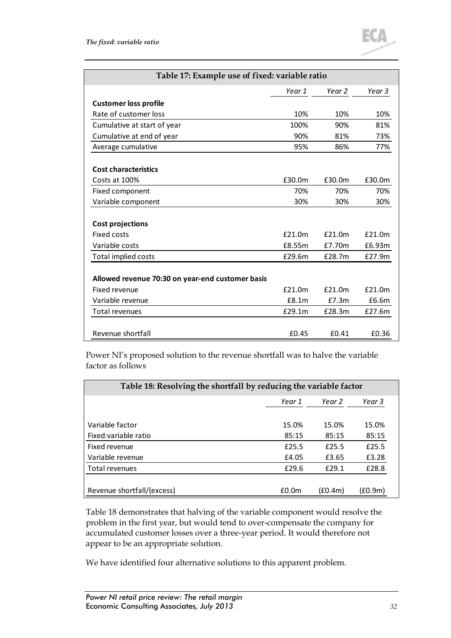

<span id="page-34-0"></span>

| Table 17: Example use of fixed: variable ratio   |        |        |        |
|--------------------------------------------------|--------|--------|--------|
|                                                  | Year 1 | Year 2 | Year 3 |
| <b>Customer loss profile</b>                     |        |        |        |
| Rate of customer loss                            | 10%    | 10%    | 10%    |
| Cumulative at start of year                      | 100%   | 90%    | 81%    |
| Cumulative at end of year                        | 90%    | 81%    | 73%    |
| Average cumulative                               | 95%    | 86%    | 77%    |
| <b>Cost characteristics</b>                      |        |        |        |
| Costs at 100%                                    | £30.0m | £30.0m | £30.0m |
| Fixed component                                  | 70%    | 70%    | 70%    |
| Variable component                               | 30%    | 30%    | 30%    |
| Cost projections                                 |        |        |        |
| <b>Fixed costs</b>                               | £21.0m | £21.0m | £21.0m |
| Variable costs                                   | £8.55m | £7.70m | £6.93m |
| Total implied costs                              | £29.6m | £28.7m | £27.9m |
| Allowed revenue 70:30 on year-end customer basis |        |        |        |
| Fixed revenue                                    | £21.0m | £21.0m | £21.0m |
| Variable revenue                                 | E8.1m  | £7.3m  | £6.6m  |
| Total revenues                                   | £29.1m | £28.3m | £27.6m |
| Revenue shortfall                                | £0.45  | £0.41  | £0.36  |

Power NI's proposed solution to the revenue shortfall was to halve the variable factor as follows

<span id="page-34-1"></span>

| Table 18: Resolving the shortfall by reducing the variable factor |                   |         |         |
|-------------------------------------------------------------------|-------------------|---------|---------|
|                                                                   | Year 1            | Year 2  | Year 3  |
| Variable factor                                                   | 15.0%             | 15.0%   | 15.0%   |
| Fixed: variable ratio                                             | 85:15             | 85:15   | 85:15   |
| Fixed revenue                                                     | £25.5             | £25.5   | £25.5   |
| Variable revenue                                                  | £4.05             | £3.65   | £3.28   |
| Total revenues                                                    | £29.6             | £29.1   | £28.8   |
|                                                                   |                   |         |         |
| Revenue shortfall/(excess)                                        | £0.0 <sub>m</sub> | (£0.4m) | (£0.9m) |

[Table 18](#page-34-1) demonstrates that halving of the variable component would resolve the problem in the first year, but would tend to over-compensate the company for accumulated customer losses over a three-year period. It would therefore not appear to be an appropriate solution.

We have identified four alternative solutions to this apparent problem.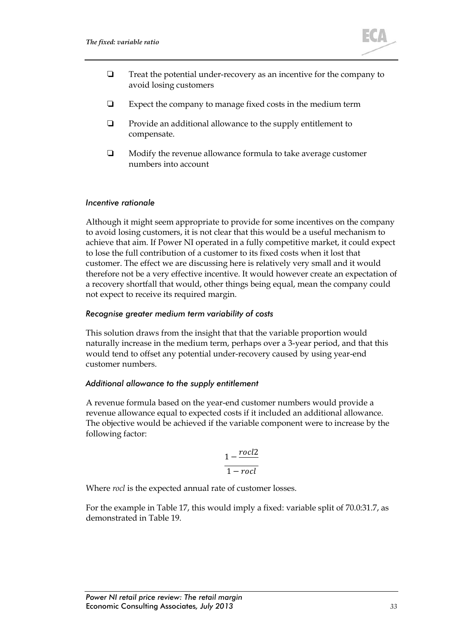

- $\Box$  Treat the potential under-recovery as an incentive for the company to avoid losing customers
- $\Box$  Expect the company to manage fixed costs in the medium term
- $\Box$  Provide an additional allowance to the supply entitlement to compensate.
- $\Box$  Modify the revenue allowance formula to take average customer numbers into account

#### *Incentive rationale*

Although it might seem appropriate to provide for some incentives on the company to avoid losing customers, it is not clear that this would be a useful mechanism to achieve that aim. If Power NI operated in a fully competitive market, it could expect to lose the full contribution of a customer to its fixed costs when it lost that customer. The effect we are discussing here is relatively very small and it would therefore not be a very effective incentive. It would however create an expectation of a recovery shortfall that would, other things being equal, mean the company could not expect to receive its required margin.

#### *Recognise greater medium term variability of costs*

This solution draws from the insight that that the variable proportion would naturally increase in the medium term, perhaps over a 3-year period, and that this would tend to offset any potential under-recovery caused by using year-end customer numbers.

#### *Additional allowance to the supply entitlement*

A revenue formula based on the year-end customer numbers would provide a revenue allowance equal to expected costs if it included an additional allowance. The objective would be achieved if the variable component were to increase by the following factor:

$$
\frac{1-\frac{rocl2}{1-rocl}}{1-rocl}
$$

Where *rocl* is the expected annual rate of customer losses.

For the example in [Table 17,](#page-34-0) this would imply a fixed: variable split of 70.0:31.7, as demonstrated in [Table 19.](#page-36-0)